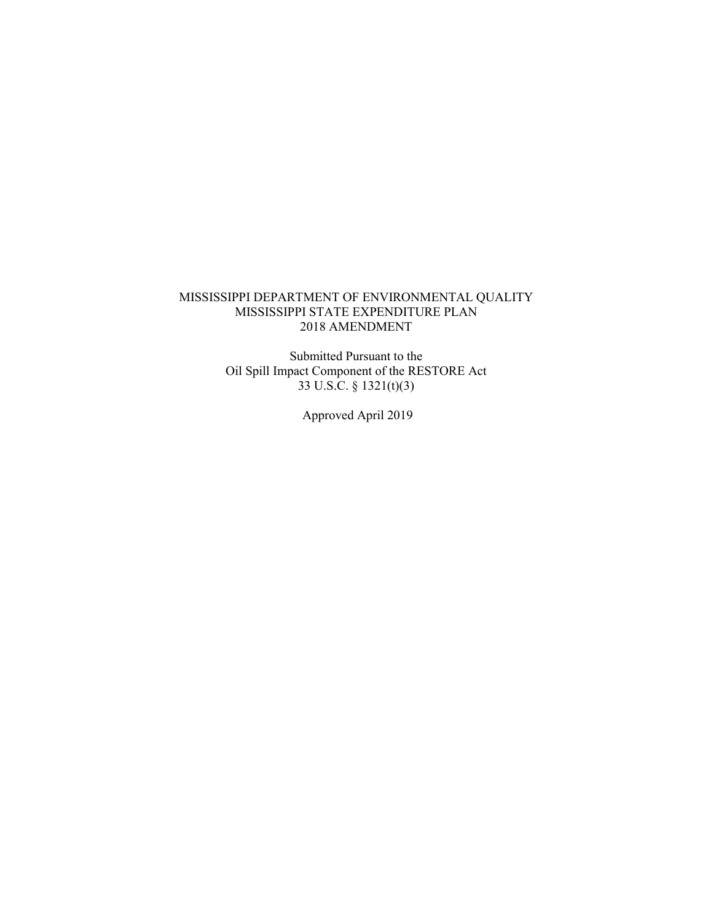### MISSISSIPPI DEPARTMENT OF ENVIRONMENTAL QUALITY MISSISSIPPI STATE EXPENDITURE PLAN 2018 AMENDMENT

Submitted Pursuant to the Oil Spill Impact Component of the RESTORE Act 33 U.S.C. § 1321(t)(3)

Approved April 2019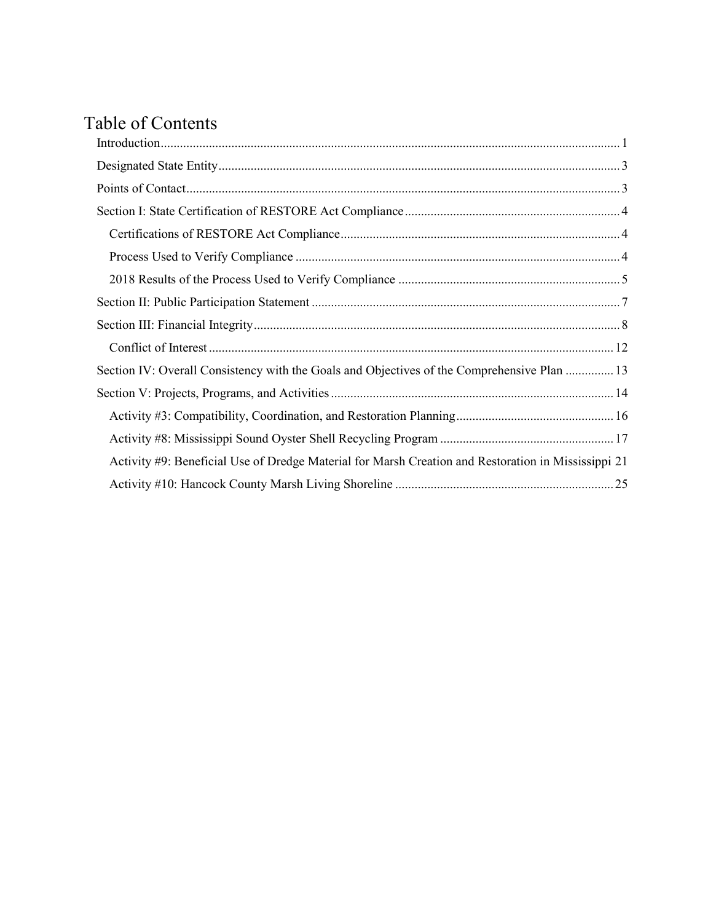# Table of Contents

| Section IV: Overall Consistency with the Goals and Objectives of the Comprehensive Plan  13         |
|-----------------------------------------------------------------------------------------------------|
|                                                                                                     |
|                                                                                                     |
|                                                                                                     |
| Activity #9: Beneficial Use of Dredge Material for Marsh Creation and Restoration in Mississippi 21 |
|                                                                                                     |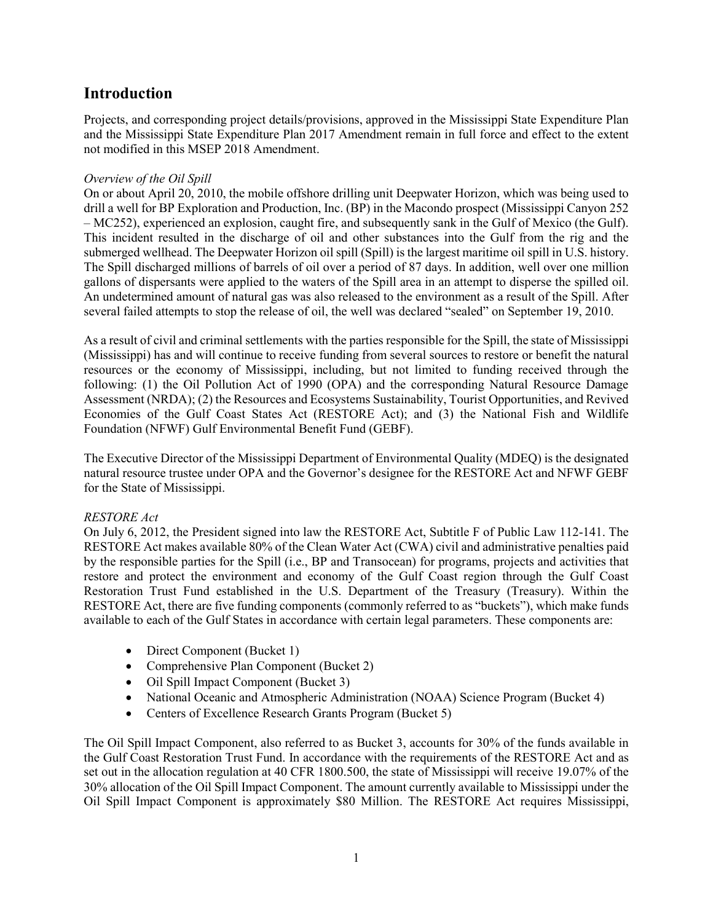# <span id="page-2-0"></span>**Introduction**

Projects, and corresponding project details/provisions, approved in the Mississippi State Expenditure Plan and the Mississippi State Expenditure Plan 2017 Amendment remain in full force and effect to the extent not modified in this MSEP 2018 Amendment.

#### *Overview of the Oil Spill*

On or about April 20, 2010, the mobile offshore drilling unit Deepwater Horizon, which was being used to drill a well for BP Exploration and Production, Inc. (BP) in the Macondo prospect (Mississippi Canyon 252 – MC252), experienced an explosion, caught fire, and subsequently sank in the Gulf of Mexico (the Gulf). This incident resulted in the discharge of oil and other substances into the Gulf from the rig and the submerged wellhead. The Deepwater Horizon oil spill (Spill) is the largest maritime oil spill in U.S. history. The Spill discharged millions of barrels of oil over a period of 87 days. In addition, well over one million gallons of dispersants were applied to the waters of the Spill area in an attempt to disperse the spilled oil. An undetermined amount of natural gas was also released to the environment as a result of the Spill. After several failed attempts to stop the release of oil, the well was declared "sealed" on September 19, 2010.

As a result of civil and criminal settlements with the parties responsible for the Spill, the state of Mississippi (Mississippi) has and will continue to receive funding from several sources to restore or benefit the natural resources or the economy of Mississippi, including, but not limited to funding received through the following: (1) the Oil Pollution Act of 1990 (OPA) and the corresponding Natural Resource Damage Assessment (NRDA); (2) the Resources and Ecosystems Sustainability, Tourist Opportunities, and Revived Economies of the Gulf Coast States Act (RESTORE Act); and (3) the National Fish and Wildlife Foundation (NFWF) Gulf Environmental Benefit Fund (GEBF).

The Executive Director of the Mississippi Department of Environmental Quality (MDEQ) is the designated natural resource trustee under OPA and the Governor's designee for the RESTORE Act and NFWF GEBF for the State of Mississippi.

# *RESTORE Act*

On July 6, 2012, the President signed into law the RESTORE Act, Subtitle F of Public Law 112-141. The RESTORE Act makes available 80% of the Clean Water Act (CWA) civil and administrative penalties paid by the responsible parties for the Spill (i.e., BP and Transocean) for programs, projects and activities that restore and protect the environment and economy of the Gulf Coast region through the Gulf Coast Restoration Trust Fund established in the U.S. Department of the Treasury (Treasury). Within the RESTORE Act, there are five funding components (commonly referred to as "buckets"), which make funds available to each of the Gulf States in accordance with certain legal parameters. These components are:

- Direct Component (Bucket 1)
- Comprehensive Plan Component (Bucket 2)
- Oil Spill Impact Component (Bucket 3)
- National Oceanic and Atmospheric Administration (NOAA) Science Program (Bucket 4)
- Centers of Excellence Research Grants Program (Bucket 5)

The Oil Spill Impact Component, also referred to as Bucket 3, accounts for 30% of the funds available in the Gulf Coast Restoration Trust Fund. In accordance with the requirements of the RESTORE Act and as set out in the allocation regulation at 40 CFR 1800.500, the state of Mississippi will receive 19.07% of the 30% allocation of the Oil Spill Impact Component. The amount currently available to Mississippi under the Oil Spill Impact Component is approximately \$80 Million. The RESTORE Act requires Mississippi,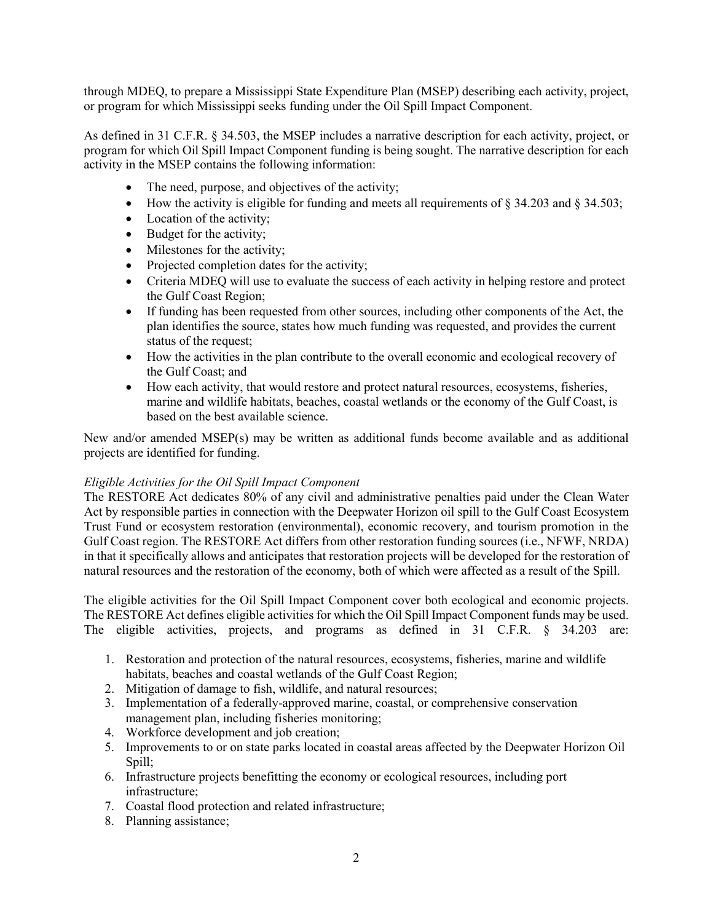through MDEQ, to prepare a Mississippi State Expenditure Plan (MSEP) describing each activity, project, or program for which Mississippi seeks funding under the Oil Spill Impact Component.

As defined in 31 C.F.R. § 34.503, the MSEP includes a narrative description for each activity, project, or program for which Oil Spill Impact Component funding is being sought. The narrative description for each activity in the MSEP contains the following information:

- The need, purpose, and objectives of the activity;
- How the activity is eligible for funding and meets all requirements of  $\S$  34.203 and  $\S$  34.503;
- Location of the activity;
- Budget for the activity;
- Milestones for the activity;
- Projected completion dates for the activity;
- Criteria MDEQ will use to evaluate the success of each activity in helping restore and protect the Gulf Coast Region;
- If funding has been requested from other sources, including other components of the Act, the plan identifies the source, states how much funding was requested, and provides the current status of the request;
- How the activities in the plan contribute to the overall economic and ecological recovery of the Gulf Coast; and
- How each activity, that would restore and protect natural resources, ecosystems, fisheries, marine and wildlife habitats, beaches, coastal wetlands or the economy of the Gulf Coast, is based on the best available science.

New and/or amended MSEP(s) may be written as additional funds become available and as additional projects are identified for funding.

#### *Eligible Activities for the Oil Spill Impact Component*

The RESTORE Act dedicates 80% of any civil and administrative penalties paid under the Clean Water Act by responsible parties in connection with the Deepwater Horizon oil spill to the Gulf Coast Ecosystem Trust Fund or ecosystem restoration (environmental), economic recovery, and tourism promotion in the Gulf Coast region. The RESTORE Act differs from other restoration funding sources (i.e., NFWF, NRDA) in that it specifically allows and anticipates that restoration projects will be developed for the restoration of natural resources and the restoration of the economy, both of which were affected as a result of the Spill.

The eligible activities for the Oil Spill Impact Component cover both ecological and economic projects. The RESTORE Act defines eligible activities for which the Oil Spill Impact Component funds may be used. The eligible activities, projects, and programs as defined in 31 C.F.R. § 34.203 are:

- 1. Restoration and protection of the natural resources, ecosystems, fisheries, marine and wildlife habitats, beaches and coastal wetlands of the Gulf Coast Region;
- 2. Mitigation of damage to fish, wildlife, and natural resources;
- 3. Implementation of a federally-approved marine, coastal, or comprehensive conservation management plan, including fisheries monitoring;
- 4. Workforce development and job creation;
- 5. Improvements to or on state parks located in coastal areas affected by the Deepwater Horizon Oil Spill;
- 6. Infrastructure projects benefitting the economy or ecological resources, including port infrastructure;
- 7. Coastal flood protection and related infrastructure;
- 8. Planning assistance;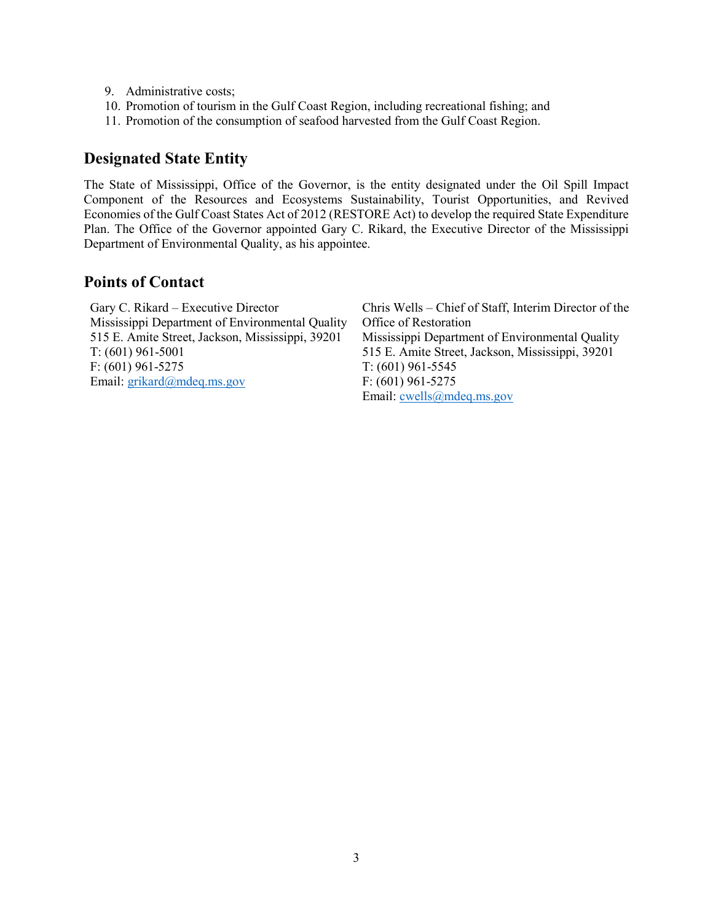- 9. Administrative costs;
- 10. Promotion of tourism in the Gulf Coast Region, including recreational fishing; and
- 11. Promotion of the consumption of seafood harvested from the Gulf Coast Region.

# <span id="page-4-0"></span>**Designated State Entity**

The State of Mississippi, Office of the Governor, is the entity designated under the Oil Spill Impact Component of the Resources and Ecosystems Sustainability, Tourist Opportunities, and Revived Economies of the Gulf Coast States Act of 2012 (RESTORE Act) to develop the required State Expenditure Plan. The Office of the Governor appointed Gary C. Rikard, the Executive Director of the Mississippi Department of Environmental Quality, as his appointee.

# <span id="page-4-1"></span>**Points of Contact**

| Gary C. Rikard – Executive Director              | Chris Wells – Chief of Staff, Interim Director of the |
|--------------------------------------------------|-------------------------------------------------------|
| Mississippi Department of Environmental Quality  | Office of Restoration                                 |
| 515 E. Amite Street, Jackson, Mississippi, 39201 | Mississippi Department of Environmental Quality       |
| $T: (601)$ 961-5001                              | 515 E. Amite Street, Jackson, Mississippi, 39201      |
| $F: (601)$ 961-5275                              | $T: (601)$ 961-5545                                   |
| Email: $grikard(a)$ mdeq.ms.gov                  | $F: (601)$ 961-5275                                   |
|                                                  | Email: $cwells@mdeg.ms.gov$                           |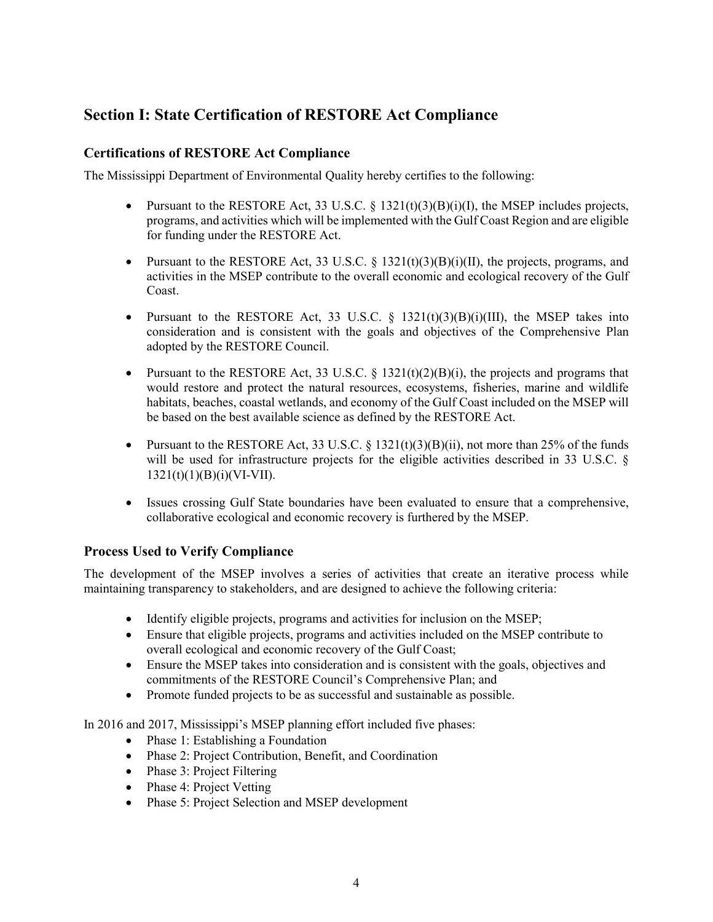# <span id="page-5-0"></span>**Section I: State Certification of RESTORE Act Compliance**

# <span id="page-5-1"></span>**Certifications of RESTORE Act Compliance**

The Mississippi Department of Environmental Quality hereby certifies to the following:

- Pursuant to the RESTORE Act, 33 U.S.C.  $\S$  1321(t)(3)(B)(i)(I), the MSEP includes projects, programs, and activities which will be implemented with the Gulf Coast Region and are eligible for funding under the RESTORE Act.
- Pursuant to the RESTORE Act, 33 U.S.C. § 1321(t)(3)(B)(i)(II), the projects, programs, and activities in the MSEP contribute to the overall economic and ecological recovery of the Gulf Coast.
- Pursuant to the RESTORE Act, 33 U.S.C.  $\S$  1321(t)(3)(B)(i)(III), the MSEP takes into consideration and is consistent with the goals and objectives of the Comprehensive Plan adopted by the RESTORE Council.
- Pursuant to the RESTORE Act, 33 U.S.C.  $\S$  1321(t)(2)(B)(i), the projects and programs that would restore and protect the natural resources, ecosystems, fisheries, marine and wildlife habitats, beaches, coastal wetlands, and economy of the Gulf Coast included on the MSEP will be based on the best available science as defined by the RESTORE Act.
- Pursuant to the RESTORE Act, 33 U.S.C. § 1321(t)(3)(B)(ii), not more than 25% of the funds will be used for infrastructure projects for the eligible activities described in 33 U.S.C. §  $1321(t)(1)(B)(i)(VI-VII).$
- Issues crossing Gulf State boundaries have been evaluated to ensure that a comprehensive, collaborative ecological and economic recovery is furthered by the MSEP.

# <span id="page-5-2"></span>**Process Used to Verify Compliance**

The development of the MSEP involves a series of activities that create an iterative process while maintaining transparency to stakeholders, and are designed to achieve the following criteria:

- Identify eligible projects, programs and activities for inclusion on the MSEP;
- Ensure that eligible projects, programs and activities included on the MSEP contribute to overall ecological and economic recovery of the Gulf Coast;
- Ensure the MSEP takes into consideration and is consistent with the goals, objectives and commitments of the RESTORE Council's Comprehensive Plan; and
- Promote funded projects to be as successful and sustainable as possible.

In 2016 and 2017, Mississippi's MSEP planning effort included five phases:

- Phase 1: Establishing a Foundation
- Phase 2: Project Contribution, Benefit, and Coordination
- Phase 3: Project Filtering
- Phase 4: Project Vetting
- Phase 5: Project Selection and MSEP development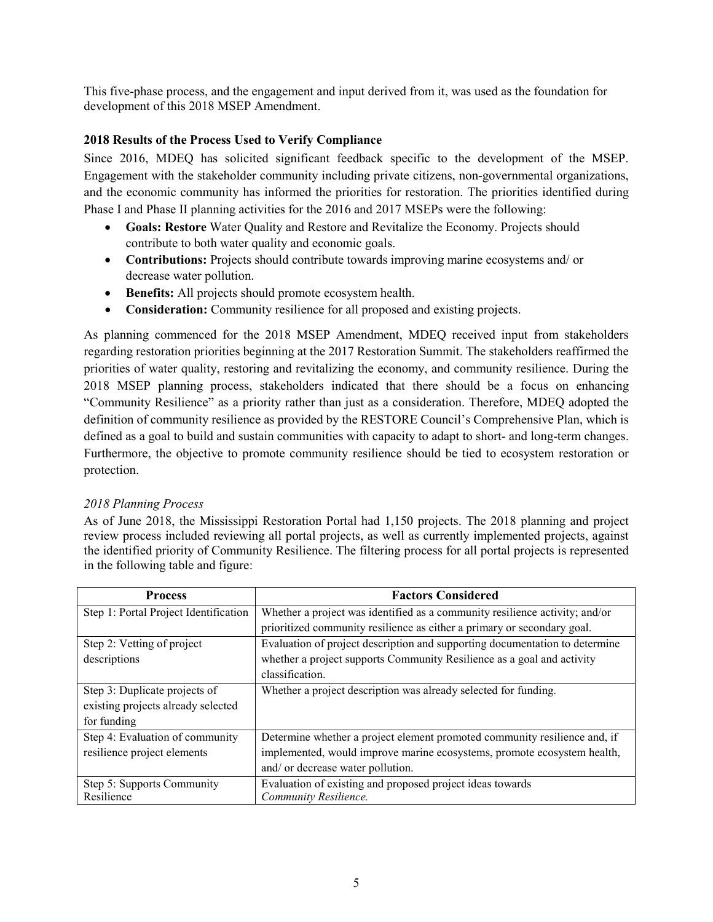This five-phase process, and the engagement and input derived from it, was used as the foundation for development of this 2018 MSEP Amendment.

# <span id="page-6-0"></span>**2018 Results of the Process Used to Verify Compliance**

Since 2016, MDEQ has solicited significant feedback specific to the development of the MSEP. Engagement with the stakeholder community including private citizens, non-governmental organizations, and the economic community has informed the priorities for restoration. The priorities identified during Phase I and Phase II planning activities for the 2016 and 2017 MSEPs were the following:

- **Goals: Restore** Water Quality and Restore and Revitalize the Economy. Projects should contribute to both water quality and economic goals.
- **Contributions:** Projects should contribute towards improving marine ecosystems and/ or decrease water pollution.
- **Benefits:** All projects should promote ecosystem health.
- **Consideration:** Community resilience for all proposed and existing projects.

As planning commenced for the 2018 MSEP Amendment, MDEQ received input from stakeholders regarding restoration priorities beginning at the 2017 Restoration Summit. The stakeholders reaffirmed the priorities of water quality, restoring and revitalizing the economy, and community resilience. During the 2018 MSEP planning process, stakeholders indicated that there should be a focus on enhancing "Community Resilience" as a priority rather than just as a consideration. Therefore, MDEQ adopted the definition of community resilience as provided by the RESTORE Council's Comprehensive Plan, which is defined as a goal to build and sustain communities with capacity to adapt to short- and long-term changes. Furthermore, the objective to promote community resilience should be tied to ecosystem restoration or protection.

# *2018 Planning Process*

As of June 2018, the Mississippi Restoration Portal had 1,150 projects. The 2018 planning and project review process included reviewing all portal projects, as well as currently implemented projects, against the identified priority of Community Resilience. The filtering process for all portal projects is represented in the following table and figure:

| <b>Process</b>                        | <b>Factors Considered</b>                                                   |
|---------------------------------------|-----------------------------------------------------------------------------|
| Step 1: Portal Project Identification | Whether a project was identified as a community resilience activity; and/or |
|                                       | prioritized community resilience as either a primary or secondary goal.     |
| Step 2: Vetting of project            | Evaluation of project description and supporting documentation to determine |
| descriptions                          | whether a project supports Community Resilience as a goal and activity      |
|                                       | classification.                                                             |
| Step 3: Duplicate projects of         | Whether a project description was already selected for funding.             |
| existing projects already selected    |                                                                             |
| for funding                           |                                                                             |
| Step 4: Evaluation of community       | Determine whether a project element promoted community resilience and, if   |
| resilience project elements           | implemented, would improve marine ecosystems, promote ecosystem health,     |
|                                       | and/ or decrease water pollution.                                           |
| Step 5: Supports Community            | Evaluation of existing and proposed project ideas towards                   |
| Resilience                            | Community Resilience.                                                       |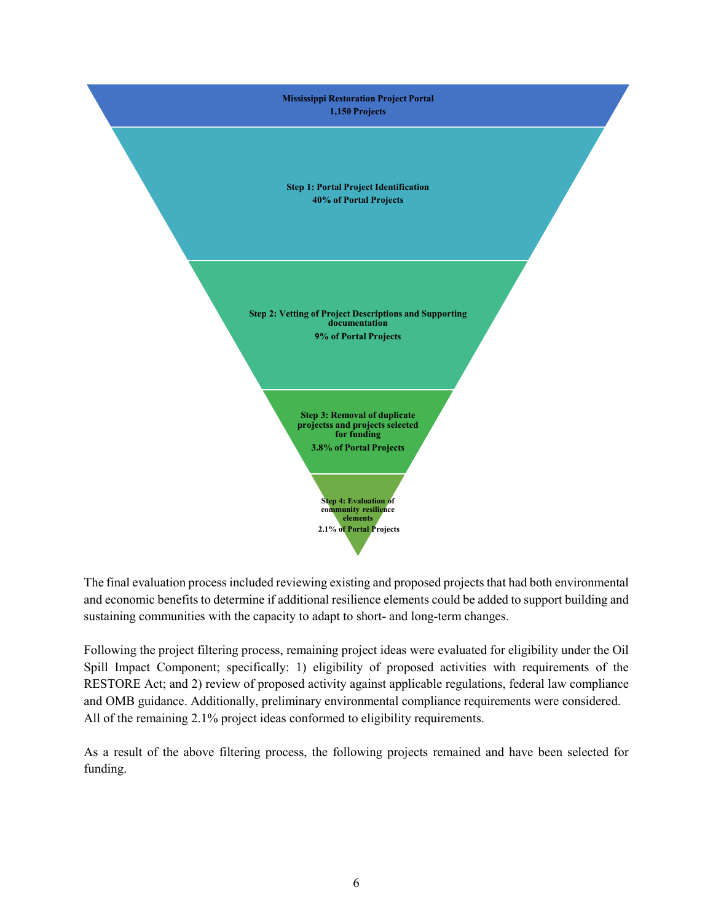

The final evaluation process included reviewing existing and proposed projects that had both environmental and economic benefits to determine if additional resilience elements could be added to support building and sustaining communities with the capacity to adapt to short- and long-term changes.

Following the project filtering process, remaining project ideas were evaluated for eligibility under the Oil Spill Impact Component; specifically: 1) eligibility of proposed activities with requirements of the RESTORE Act; and 2) review of proposed activity against applicable regulations, federal law compliance and OMB guidance. Additionally, preliminary environmental compliance requirements were considered. All of the remaining 2.1% project ideas conformed to eligibility requirements.

As a result of the above filtering process, the following projects remained and have been selected for funding.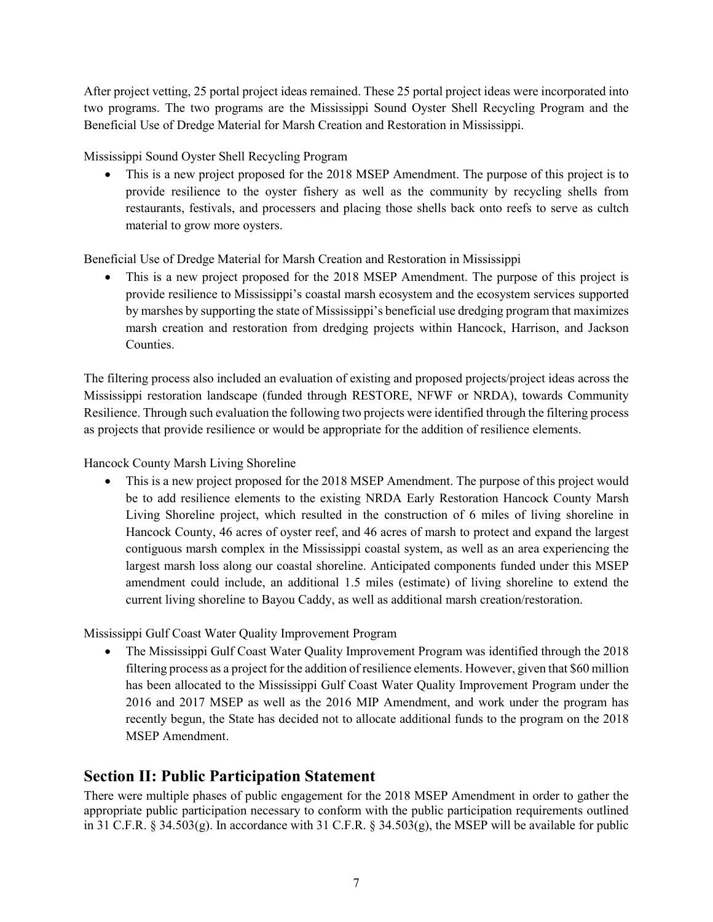After project vetting, 25 portal project ideas remained. These 25 portal project ideas were incorporated into two programs. The two programs are the Mississippi Sound Oyster Shell Recycling Program and the Beneficial Use of Dredge Material for Marsh Creation and Restoration in Mississippi.

Mississippi Sound Oyster Shell Recycling Program

• This is a new project proposed for the 2018 MSEP Amendment. The purpose of this project is to provide resilience to the oyster fishery as well as the community by recycling shells from restaurants, festivals, and processers and placing those shells back onto reefs to serve as cultch material to grow more oysters.

Beneficial Use of Dredge Material for Marsh Creation and Restoration in Mississippi

• This is a new project proposed for the 2018 MSEP Amendment. The purpose of this project is provide resilience to Mississippi's coastal marsh ecosystem and the ecosystem services supported by marshes by supporting the state of Mississippi's beneficial use dredging program that maximizes marsh creation and restoration from dredging projects within Hancock, Harrison, and Jackson **Counties** 

The filtering process also included an evaluation of existing and proposed projects/project ideas across the Mississippi restoration landscape (funded through RESTORE, NFWF or NRDA), towards Community Resilience. Through such evaluation the following two projects were identified through the filtering process as projects that provide resilience or would be appropriate for the addition of resilience elements.

Hancock County Marsh Living Shoreline

• This is a new project proposed for the 2018 MSEP Amendment. The purpose of this project would be to add resilience elements to the existing NRDA Early Restoration Hancock County Marsh Living Shoreline project, which resulted in the construction of 6 miles of living shoreline in Hancock County, 46 acres of oyster reef, and 46 acres of marsh to protect and expand the largest contiguous marsh complex in the Mississippi coastal system, as well as an area experiencing the largest marsh loss along our coastal shoreline. Anticipated components funded under this MSEP amendment could include, an additional 1.5 miles (estimate) of living shoreline to extend the current living shoreline to Bayou Caddy, as well as additional marsh creation/restoration.

Mississippi Gulf Coast Water Quality Improvement Program

• The Mississippi Gulf Coast Water Quality Improvement Program was identified through the 2018 filtering process as a project for the addition of resilience elements. However, given that \$60 million has been allocated to the Mississippi Gulf Coast Water Quality Improvement Program under the 2016 and 2017 MSEP as well as the 2016 MIP Amendment, and work under the program has recently begun, the State has decided not to allocate additional funds to the program on the 2018 MSEP Amendment.

# <span id="page-8-0"></span>**Section II: Public Participation Statement**

There were multiple phases of public engagement for the 2018 MSEP Amendment in order to gather the appropriate public participation necessary to conform with the public participation requirements outlined in 31 C.F.R. § 34.503(g). In accordance with 31 C.F.R. § 34.503(g), the MSEP will be available for public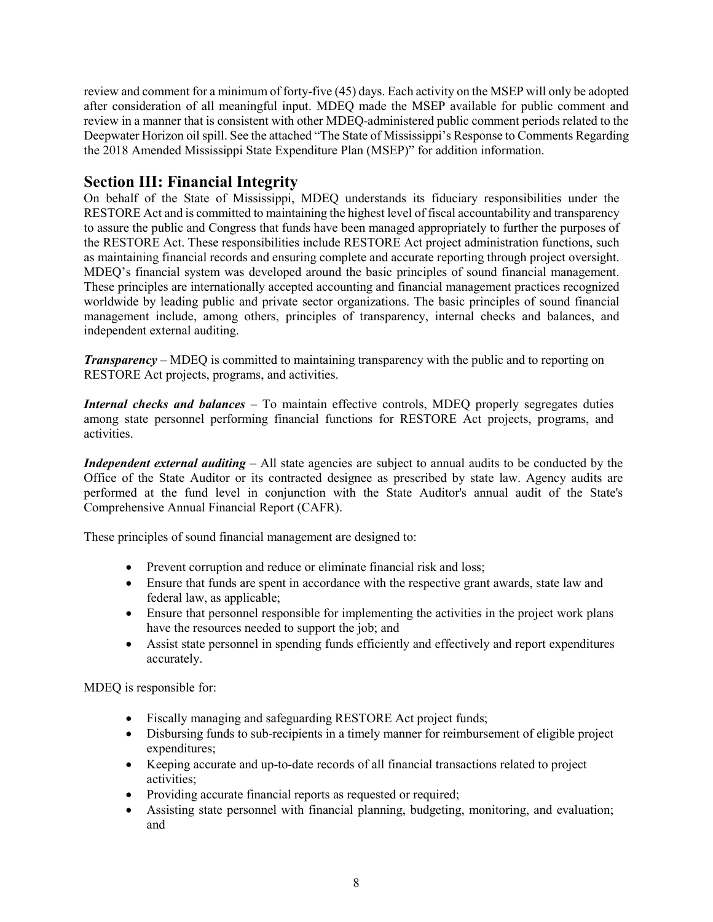review and comment for a minimum of forty-five (45) days. Each activity on the MSEP will only be adopted after consideration of all meaningful input. MDEQ made the MSEP available for public comment and review in a manner that is consistent with other MDEQ-administered public comment periods related to the Deepwater Horizon oil spill. See the attached "The State of Mississippi's Response to Comments Regarding the 2018 Amended Mississippi State Expenditure Plan (MSEP)" for addition information.

# <span id="page-9-0"></span>**Section III: Financial Integrity**

On behalf of the State of Mississippi, MDEQ understands its fiduciary responsibilities under the RESTORE Act and is committed to maintaining the highest level of fiscal accountability and transparency to assure the public and Congress that funds have been managed appropriately to further the purposes of the RESTORE Act. These responsibilities include RESTORE Act project administration functions, such as maintaining financial records and ensuring complete and accurate reporting through project oversight. MDEQ's financial system was developed around the basic principles of sound financial management. These principles are internationally accepted accounting and financial management practices recognized worldwide by leading public and private sector organizations. The basic principles of sound financial management include, among others, principles of transparency, internal checks and balances, and independent external auditing.

*Transparency* – MDEQ is committed to maintaining transparency with the public and to reporting on RESTORE Act projects, programs, and activities.

*Internal checks and balances* – To maintain effective controls, MDEQ properly segregates duties among state personnel performing financial functions for RESTORE Act projects, programs, and activities.

*Independent external auditing – All state agencies are subject to annual audits to be conducted by the* Office of the State Auditor or its contracted designee as prescribed by state law. Agency audits are performed at the fund level in conjunction with the State Auditor's annual audit of the State's Comprehensive Annual Financial Report (CAFR).

These principles of sound financial management are designed to:

- Prevent corruption and reduce or eliminate financial risk and loss;
- Ensure that funds are spent in accordance with the respective grant awards, state law and federal law, as applicable;
- Ensure that personnel responsible for implementing the activities in the project work plans have the resources needed to support the job; and
- Assist state personnel in spending funds efficiently and effectively and report expenditures accurately.

MDEQ is responsible for:

- Fiscally managing and safeguarding RESTORE Act project funds;
- Disbursing funds to sub-recipients in a timely manner for reimbursement of eligible project expenditures;
- Keeping accurate and up-to-date records of all financial transactions related to project activities;
- Providing accurate financial reports as requested or required;
- Assisting state personnel with financial planning, budgeting, monitoring, and evaluation; and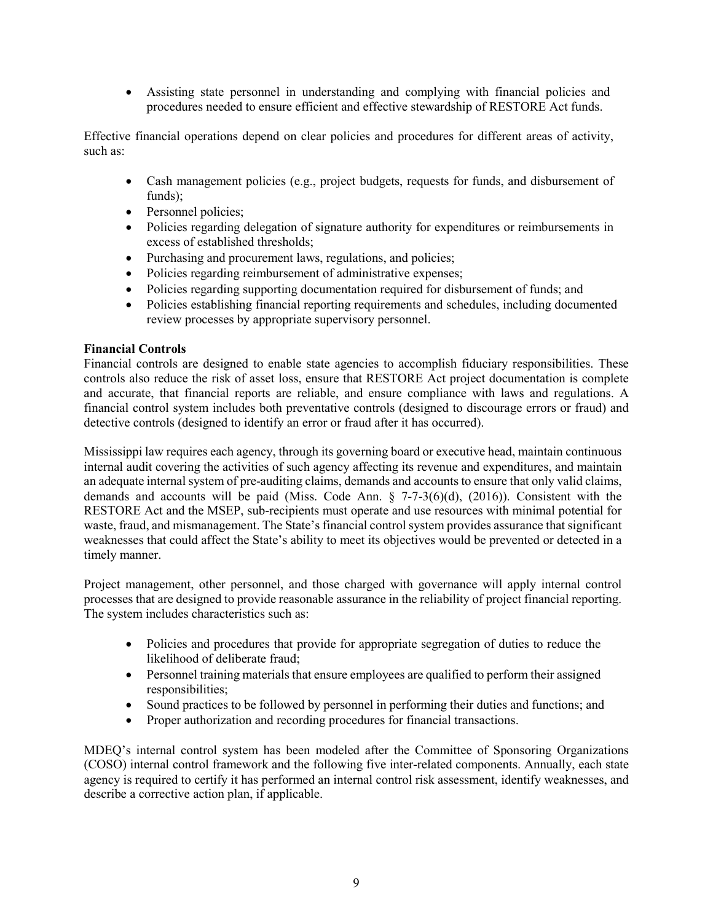• Assisting state personnel in understanding and complying with financial policies and procedures needed to ensure efficient and effective stewardship of RESTORE Act funds.

Effective financial operations depend on clear policies and procedures for different areas of activity, such as:

- Cash management policies (e.g., project budgets, requests for funds, and disbursement of funds):
- Personnel policies;
- Policies regarding delegation of signature authority for expenditures or reimbursements in excess of established thresholds;
- Purchasing and procurement laws, regulations, and policies;
- Policies regarding reimbursement of administrative expenses;
- Policies regarding supporting documentation required for disbursement of funds; and
- Policies establishing financial reporting requirements and schedules, including documented review processes by appropriate supervisory personnel.

### **Financial Controls**

Financial controls are designed to enable state agencies to accomplish fiduciary responsibilities. These controls also reduce the risk of asset loss, ensure that RESTORE Act project documentation is complete and accurate, that financial reports are reliable, and ensure compliance with laws and regulations. A financial control system includes both preventative controls (designed to discourage errors or fraud) and detective controls (designed to identify an error or fraud after it has occurred).

Mississippi law requires each agency, through its governing board or executive head, maintain continuous internal audit covering the activities of such agency affecting its revenue and expenditures, and maintain an adequate internal system of pre-auditing claims, demands and accounts to ensure that only valid claims, demands and accounts will be paid (Miss. Code Ann. § 7-7-3(6)(d), (2016)). Consistent with the RESTORE Act and the MSEP, sub-recipients must operate and use resources with minimal potential for waste, fraud, and mismanagement. The State's financial control system provides assurance that significant weaknesses that could affect the State's ability to meet its objectives would be prevented or detected in a timely manner.

Project management, other personnel, and those charged with governance will apply internal control processes that are designed to provide reasonable assurance in the reliability of project financial reporting. The system includes characteristics such as:

- Policies and procedures that provide for appropriate segregation of duties to reduce the likelihood of deliberate fraud;
- Personnel training materials that ensure employees are qualified to perform their assigned responsibilities;
- Sound practices to be followed by personnel in performing their duties and functions; and
- Proper authorization and recording procedures for financial transactions.

MDEQ's internal control system has been modeled after the Committee of Sponsoring Organizations (COSO) internal control framework and the following five inter-related components. Annually, each state agency is required to certify it has performed an internal control risk assessment, identify weaknesses, and describe a corrective action plan, if applicable.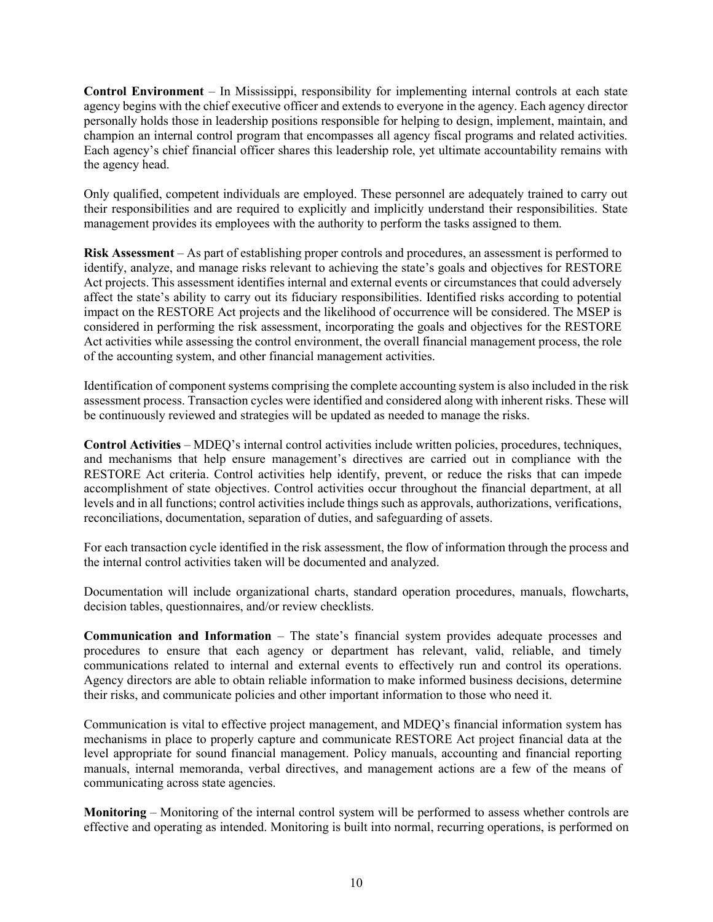**Control Environment** – In Mississippi, responsibility for implementing internal controls at each state agency begins with the chief executive officer and extends to everyone in the agency. Each agency director personally holds those in leadership positions responsible for helping to design, implement, maintain, and champion an internal control program that encompasses all agency fiscal programs and related activities. Each agency's chief financial officer shares this leadership role, yet ultimate accountability remains with the agency head.

Only qualified, competent individuals are employed. These personnel are adequately trained to carry out their responsibilities and are required to explicitly and implicitly understand their responsibilities. State management provides its employees with the authority to perform the tasks assigned to them.

**Risk Assessment** – As part of establishing proper controls and procedures, an assessment is performed to identify, analyze, and manage risks relevant to achieving the state's goals and objectives for RESTORE Act projects. This assessment identifies internal and external events or circumstances that could adversely affect the state's ability to carry out its fiduciary responsibilities. Identified risks according to potential impact on the RESTORE Act projects and the likelihood of occurrence will be considered. The MSEP is considered in performing the risk assessment, incorporating the goals and objectives for the RESTORE Act activities while assessing the control environment, the overall financial management process, the role of the accounting system, and other financial management activities.

Identification of component systems comprising the complete accounting system is also included in the risk assessment process. Transaction cycles were identified and considered along with inherent risks. These will be continuously reviewed and strategies will be updated as needed to manage the risks.

**Control Activities** – MDEQ's internal control activities include written policies, procedures, techniques, and mechanisms that help ensure management's directives are carried out in compliance with the RESTORE Act criteria. Control activities help identify, prevent, or reduce the risks that can impede accomplishment of state objectives. Control activities occur throughout the financial department, at all levels and in all functions; control activities include things such as approvals, authorizations, verifications, reconciliations, documentation, separation of duties, and safeguarding of assets.

For each transaction cycle identified in the risk assessment, the flow of information through the process and the internal control activities taken will be documented and analyzed.

Documentation will include organizational charts, standard operation procedures, manuals, flowcharts, decision tables, questionnaires, and/or review checklists.

**Communication and Information** – The state's financial system provides adequate processes and procedures to ensure that each agency or department has relevant, valid, reliable, and timely communications related to internal and external events to effectively run and control its operations. Agency directors are able to obtain reliable information to make informed business decisions, determine their risks, and communicate policies and other important information to those who need it.

Communication is vital to effective project management, and MDEQ's financial information system has mechanisms in place to properly capture and communicate RESTORE Act project financial data at the level appropriate for sound financial management. Policy manuals, accounting and financial reporting manuals, internal memoranda, verbal directives, and management actions are a few of the means of communicating across state agencies.

**Monitoring** – Monitoring of the internal control system will be performed to assess whether controls are effective and operating as intended. Monitoring is built into normal, recurring operations, is performed on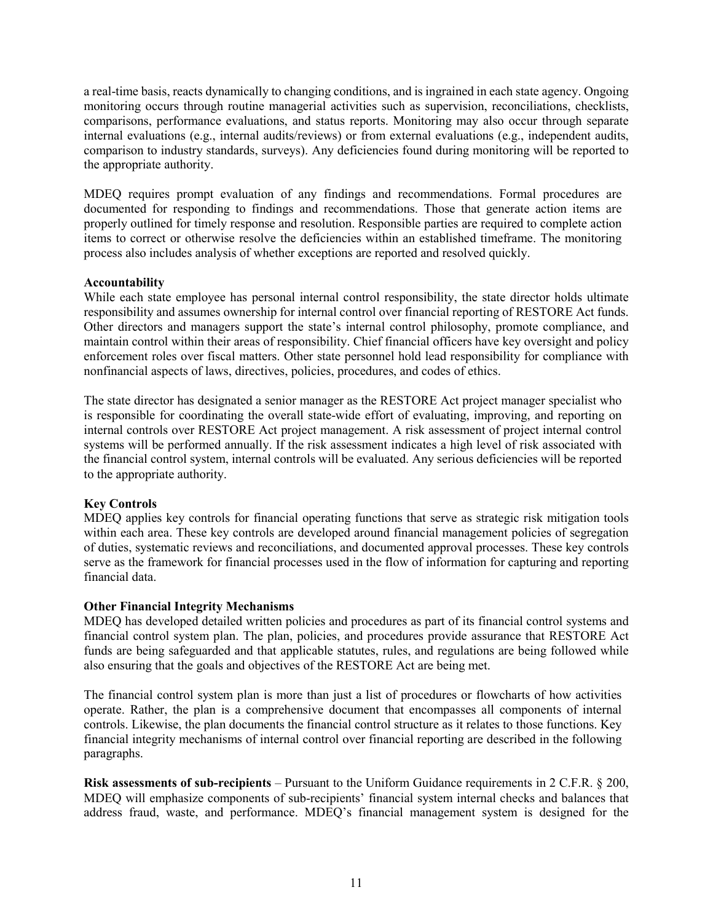a real-time basis, reacts dynamically to changing conditions, and is ingrained in each state agency. Ongoing monitoring occurs through routine managerial activities such as supervision, reconciliations, checklists, comparisons, performance evaluations, and status reports. Monitoring may also occur through separate internal evaluations (e.g., internal audits/reviews) or from external evaluations (e.g., independent audits, comparison to industry standards, surveys). Any deficiencies found during monitoring will be reported to the appropriate authority.

MDEQ requires prompt evaluation of any findings and recommendations. Formal procedures are documented for responding to findings and recommendations. Those that generate action items are properly outlined for timely response and resolution. Responsible parties are required to complete action items to correct or otherwise resolve the deficiencies within an established timeframe. The monitoring process also includes analysis of whether exceptions are reported and resolved quickly.

#### **Accountability**

While each state employee has personal internal control responsibility, the state director holds ultimate responsibility and assumes ownership for internal control over financial reporting of RESTORE Act funds. Other directors and managers support the state's internal control philosophy, promote compliance, and maintain control within their areas of responsibility. Chief financial officers have key oversight and policy enforcement roles over fiscal matters. Other state personnel hold lead responsibility for compliance with nonfinancial aspects of laws, directives, policies, procedures, and codes of ethics.

The state director has designated a senior manager as the RESTORE Act project manager specialist who is responsible for coordinating the overall state-wide effort of evaluating, improving, and reporting on internal controls over RESTORE Act project management. A risk assessment of project internal control systems will be performed annually. If the risk assessment indicates a high level of risk associated with the financial control system, internal controls will be evaluated. Any serious deficiencies will be reported to the appropriate authority.

#### **Key Controls**

MDEQ applies key controls for financial operating functions that serve as strategic risk mitigation tools within each area. These key controls are developed around financial management policies of segregation of duties, systematic reviews and reconciliations, and documented approval processes. These key controls serve as the framework for financial processes used in the flow of information for capturing and reporting financial data.

#### **Other Financial Integrity Mechanisms**

MDEQ has developed detailed written policies and procedures as part of its financial control systems and financial control system plan. The plan, policies, and procedures provide assurance that RESTORE Act funds are being safeguarded and that applicable statutes, rules, and regulations are being followed while also ensuring that the goals and objectives of the RESTORE Act are being met.

The financial control system plan is more than just a list of procedures or flowcharts of how activities operate. Rather, the plan is a comprehensive document that encompasses all components of internal controls. Likewise, the plan documents the financial control structure as it relates to those functions. Key financial integrity mechanisms of internal control over financial reporting are described in the following paragraphs.

**Risk assessments of sub-recipients** – Pursuant to the Uniform Guidance requirements in 2 C.F.R. § 200, MDEQ will emphasize components of sub-recipients' financial system internal checks and balances that address fraud, waste, and performance. MDEQ's financial management system is designed for the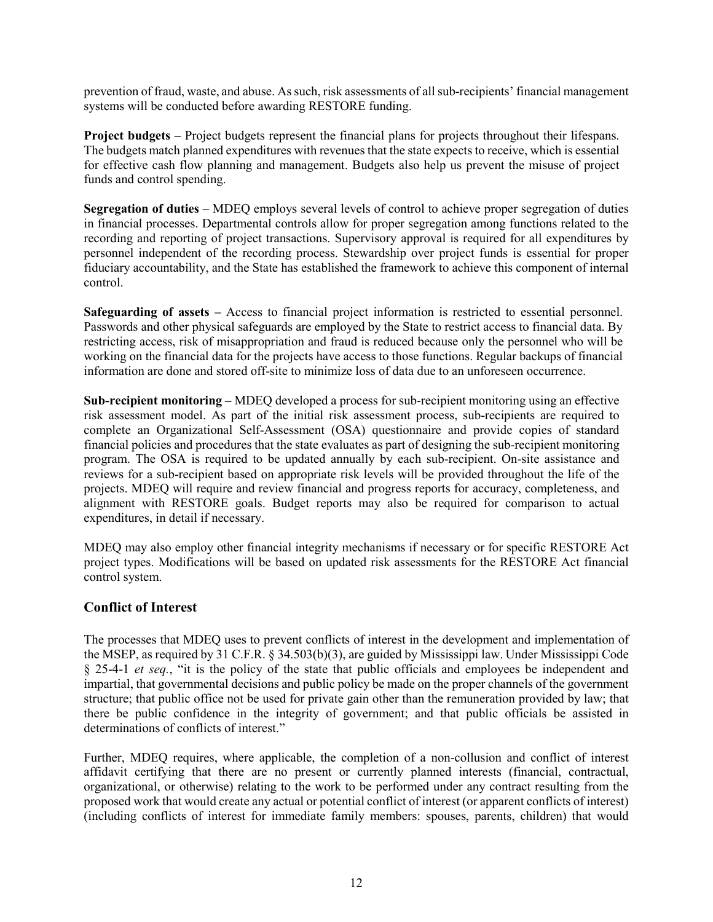prevention of fraud, waste, and abuse. As such, risk assessments of all sub-recipients' financial management systems will be conducted before awarding RESTORE funding.

**Project budgets –** Project budgets represent the financial plans for projects throughout their lifespans. The budgets match planned expenditures with revenues that the state expects to receive, which is essential for effective cash flow planning and management. Budgets also help us prevent the misuse of project funds and control spending.

**Segregation of duties –** MDEQ employs several levels of control to achieve proper segregation of duties in financial processes. Departmental controls allow for proper segregation among functions related to the recording and reporting of project transactions. Supervisory approval is required for all expenditures by personnel independent of the recording process. Stewardship over project funds is essential for proper fiduciary accountability, and the State has established the framework to achieve this component of internal control.

**Safeguarding of assets –** Access to financial project information is restricted to essential personnel. Passwords and other physical safeguards are employed by the State to restrict access to financial data. By restricting access, risk of misappropriation and fraud is reduced because only the personnel who will be working on the financial data for the projects have access to those functions. Regular backups of financial information are done and stored off-site to minimize loss of data due to an unforeseen occurrence.

**Sub-recipient monitoring –** MDEQ developed a process for sub-recipient monitoring using an effective risk assessment model. As part of the initial risk assessment process, sub-recipients are required to complete an Organizational Self-Assessment (OSA) questionnaire and provide copies of standard financial policies and procedures that the state evaluates as part of designing the sub-recipient monitoring program. The OSA is required to be updated annually by each sub-recipient. On-site assistance and reviews for a sub-recipient based on appropriate risk levels will be provided throughout the life of the projects. MDEQ will require and review financial and progress reports for accuracy, completeness, and alignment with RESTORE goals. Budget reports may also be required for comparison to actual expenditures, in detail if necessary.

MDEQ may also employ other financial integrity mechanisms if necessary or for specific RESTORE Act project types. Modifications will be based on updated risk assessments for the RESTORE Act financial control system.

# <span id="page-13-0"></span>**Conflict of Interest**

The processes that MDEQ uses to prevent conflicts of interest in the development and implementation of the MSEP, as required by 31 C.F.R. § 34.503(b)(3), are guided by Mississippi law. Under Mississippi Code § 25-4-1 *et seq.*, "it is the policy of the state that public officials and employees be independent and impartial, that governmental decisions and public policy be made on the proper channels of the government structure; that public office not be used for private gain other than the remuneration provided by law; that there be public confidence in the integrity of government; and that public officials be assisted in determinations of conflicts of interest."

Further, MDEQ requires, where applicable, the completion of a non-collusion and conflict of interest affidavit certifying that there are no present or currently planned interests (financial, contractual, organizational, or otherwise) relating to the work to be performed under any contract resulting from the proposed work that would create any actual or potential conflict of interest (or apparent conflicts of interest) (including conflicts of interest for immediate family members: spouses, parents, children) that would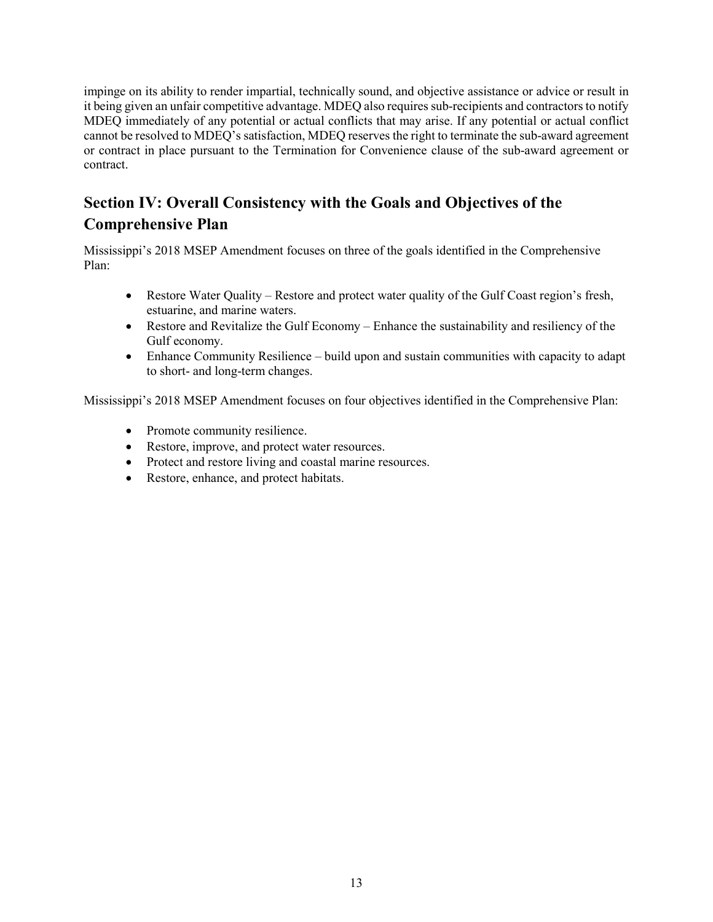impinge on its ability to render impartial, technically sound, and objective assistance or advice or result in it being given an unfair competitive advantage. MDEQ also requires sub-recipients and contractorsto notify MDEQ immediately of any potential or actual conflicts that may arise. If any potential or actual conflict cannot be resolved to MDEQ's satisfaction, MDEQ reserves the right to terminate the sub-award agreement or contract in place pursuant to the Termination for Convenience clause of the sub-award agreement or contract.

# <span id="page-14-0"></span>**Section IV: Overall Consistency with the Goals and Objectives of the Comprehensive Plan**

Mississippi's 2018 MSEP Amendment focuses on three of the goals identified in the Comprehensive Plan:

- Restore Water Quality Restore and protect water quality of the Gulf Coast region's fresh, estuarine, and marine waters.
- Restore and Revitalize the Gulf Economy Enhance the sustainability and resiliency of the Gulf economy.
- Enhance Community Resilience build upon and sustain communities with capacity to adapt to short- and long-term changes.

Mississippi's 2018 MSEP Amendment focuses on four objectives identified in the Comprehensive Plan:

- Promote community resilience.
- Restore, improve, and protect water resources.
- Protect and restore living and coastal marine resources.
- Restore, enhance, and protect habitats.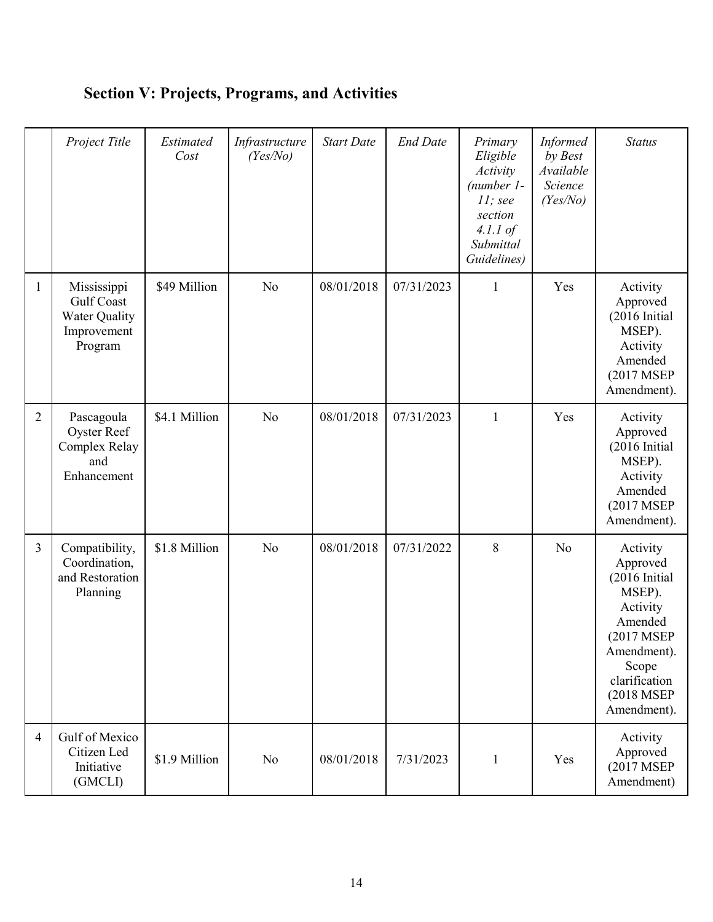<span id="page-15-0"></span>

|                | Project Title                                                                      | Estimated<br>Cost | Infrastructure<br>(Yes/No) | <b>Start Date</b> | <b>End Date</b> | Primary<br>Eligible<br>Activity<br>$(number 1 -$<br>$11$ ; see<br>section<br>$4.1.1$ of<br>Submittal<br>Guidelines) | <b>Informed</b><br>by Best<br>Available<br>Science<br>(Yes/No) | <b>Status</b>                                                                                                                                                         |
|----------------|------------------------------------------------------------------------------------|-------------------|----------------------------|-------------------|-----------------|---------------------------------------------------------------------------------------------------------------------|----------------------------------------------------------------|-----------------------------------------------------------------------------------------------------------------------------------------------------------------------|
| $\mathbf{1}$   | Mississippi<br><b>Gulf Coast</b><br><b>Water Quality</b><br>Improvement<br>Program | \$49 Million      | No                         | 08/01/2018        | 07/31/2023      | 1                                                                                                                   | Yes                                                            | Activity<br>Approved<br>(2016 Initial<br>MSEP).<br>Activity<br>Amended<br>(2017 MSEP<br>Amendment).                                                                   |
| $\overline{2}$ | Pascagoula<br>Oyster Reef<br>Complex Relay<br>and<br>Enhancement                   | \$4.1 Million     | No                         | 08/01/2018        | 07/31/2023      | $\mathbf{1}$                                                                                                        | Yes                                                            | Activity<br>Approved<br>$(2016 \text{ Initial})$<br>MSEP).<br>Activity<br>Amended<br>(2017 MSEP<br>Amendment).                                                        |
| $\overline{3}$ | Compatibility,<br>Coordination,<br>and Restoration<br>Planning                     | \$1.8 Million     | No                         | 08/01/2018        | 07/31/2022      | 8                                                                                                                   | N <sub>o</sub>                                                 | Activity<br>Approved<br>$(2016 \text{ Initial})$<br>MSEP).<br>Activity<br>Amended<br>(2017 MSEP<br>Amendment).<br>Scope<br>clarification<br>(2018 MSEP<br>Amendment). |
| $\overline{4}$ | Gulf of Mexico<br>Citizen Led<br>Initiative<br>(GMCLI)                             | \$1.9 Million     | N <sub>0</sub>             | 08/01/2018        | 7/31/2023       | $\mathbf{1}$                                                                                                        | Yes                                                            | Activity<br>Approved<br>(2017 MSEP<br>Amendment)                                                                                                                      |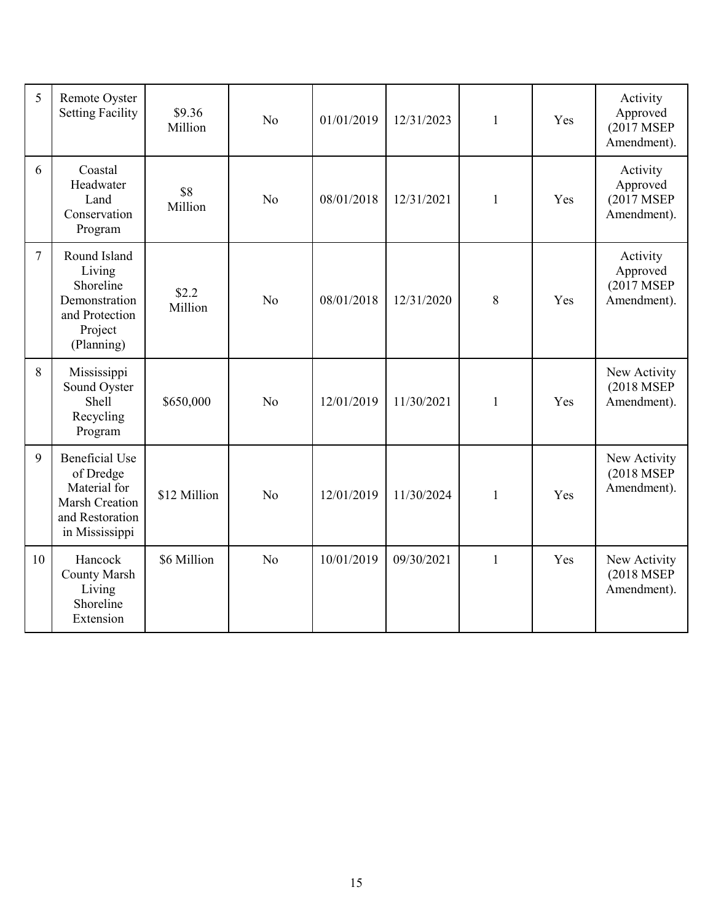<span id="page-16-0"></span>

| 5  | Remote Oyster<br><b>Setting Facility</b>                                                                  | \$9.36<br>Million | N <sub>o</sub> | 01/01/2019 | 12/31/2023 | 1            | Yes | Activity<br>Approved<br>(2017 MSEP<br>Amendment). |
|----|-----------------------------------------------------------------------------------------------------------|-------------------|----------------|------------|------------|--------------|-----|---------------------------------------------------|
| 6  | Coastal<br>Headwater<br>Land<br>Conservation<br>Program                                                   | \$8<br>Million    | N <sub>0</sub> | 08/01/2018 | 12/31/2021 | $\mathbf{1}$ | Yes | Activity<br>Approved<br>(2017 MSEP<br>Amendment). |
| 7  | Round Island<br>Living<br>Shoreline<br>Demonstration<br>and Protection<br>Project<br>(Planning)           | \$2.2<br>Million  | No             | 08/01/2018 | 12/31/2020 | 8            | Yes | Activity<br>Approved<br>(2017 MSEP<br>Amendment). |
| 8  | Mississippi<br>Sound Oyster<br>Shell<br>Recycling<br>Program                                              | \$650,000         | No             | 12/01/2019 | 11/30/2021 | $\mathbf{1}$ | Yes | New Activity<br>(2018 MSEP<br>Amendment).         |
| 9  | <b>Beneficial Use</b><br>of Dredge<br>Material for<br>Marsh Creation<br>and Restoration<br>in Mississippi | \$12 Million      | N <sub>o</sub> | 12/01/2019 | 11/30/2024 | $\mathbf{1}$ | Yes | New Activity<br>(2018 MSEP<br>Amendment).         |
| 10 | Hancock<br><b>County Marsh</b><br>Living<br>Shoreline<br>Extension                                        | \$6 Million       | No             | 10/01/2019 | 09/30/2021 | $\mathbf{1}$ | Yes | New Activity<br>(2018 MSEP<br>Amendment).         |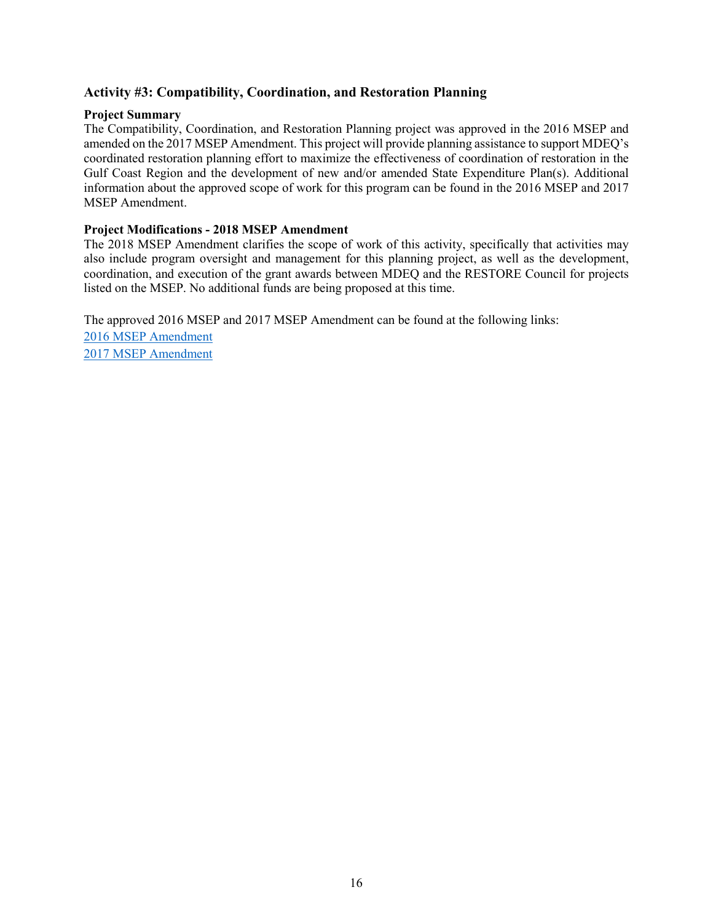# **Activity #3: Compatibility, Coordination, and Restoration Planning**

#### **Project Summary**

The Compatibility, Coordination, and Restoration Planning project was approved in the 2016 MSEP and amended on the 2017 MSEP Amendment. This project will provide planning assistance to support MDEQ's coordinated restoration planning effort to maximize the effectiveness of coordination of restoration in the Gulf Coast Region and the development of new and/or amended State Expenditure Plan(s). Additional information about the approved scope of work for this program can be found in the 2016 MSEP and 2017 MSEP Amendment.

#### **Project Modifications - 2018 MSEP Amendment**

The 2018 MSEP Amendment clarifies the scope of work of this activity, specifically that activities may also include program oversight and management for this planning project, as well as the development, coordination, and execution of the grant awards between MDEQ and the RESTORE Council for projects listed on the MSEP. No additional funds are being proposed at this time.

The approved 2016 MSEP and 2017 MSEP Amendment can be found at the following links:

[2016 MSEP Amendment](https://www.restorethegulf.gov/sites/default/files/SEP_MS_20170427.pdf) [2017 MSEP Amendment](https://restorethegulf.gov/sites/default/files/MS%20State%20Expenditure%20Plan%20Amendment%202017%202.12.18_FINAL_508Compliance.pdf)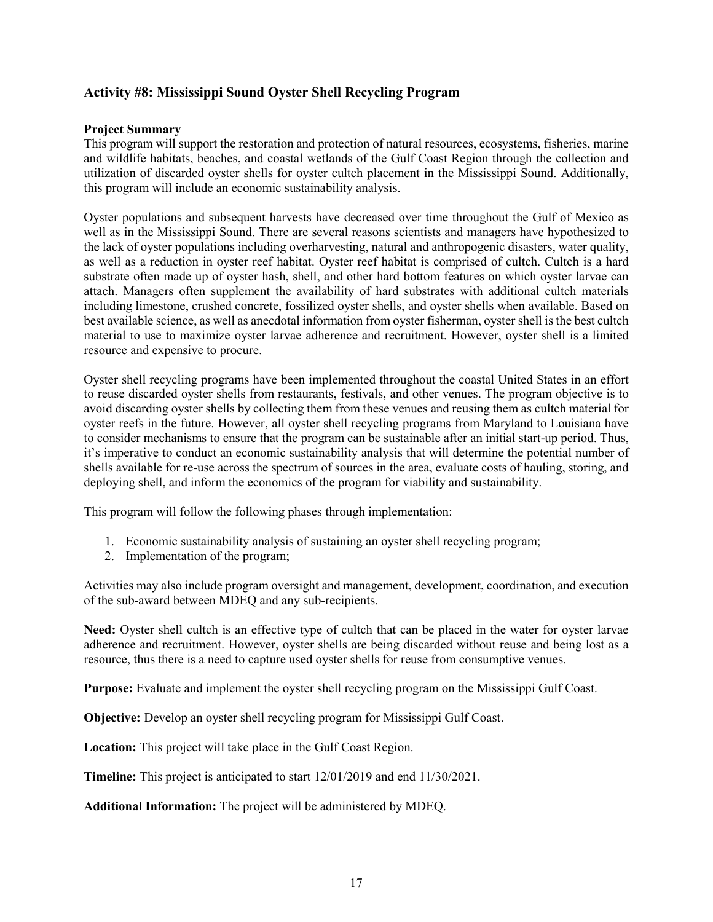# <span id="page-18-0"></span>**Activity #8: Mississippi Sound Oyster Shell Recycling Program**

#### **Project Summary**

This program will support the restoration and protection of natural resources, ecosystems, fisheries, marine and wildlife habitats, beaches, and coastal wetlands of the Gulf Coast Region through the collection and utilization of discarded oyster shells for oyster cultch placement in the Mississippi Sound. Additionally, this program will include an economic sustainability analysis.

Oyster populations and subsequent harvests have decreased over time throughout the Gulf of Mexico as well as in the Mississippi Sound. There are several reasons scientists and managers have hypothesized to the lack of oyster populations including overharvesting, natural and anthropogenic disasters, water quality, as well as a reduction in oyster reef habitat. Oyster reef habitat is comprised of cultch. Cultch is a hard substrate often made up of oyster hash, shell, and other hard bottom features on which oyster larvae can attach. Managers often supplement the availability of hard substrates with additional cultch materials including limestone, crushed concrete, fossilized oyster shells, and oyster shells when available. Based on best available science, as well as anecdotal information from oyster fisherman, oyster shell is the best cultch material to use to maximize oyster larvae adherence and recruitment. However, oyster shell is a limited resource and expensive to procure.

Oyster shell recycling programs have been implemented throughout the coastal United States in an effort to reuse discarded oyster shells from restaurants, festivals, and other venues. The program objective is to avoid discarding oyster shells by collecting them from these venues and reusing them as cultch material for oyster reefs in the future. However, all oyster shell recycling programs from Maryland to Louisiana have to consider mechanisms to ensure that the program can be sustainable after an initial start-up period. Thus, it's imperative to conduct an economic sustainability analysis that will determine the potential number of shells available for re-use across the spectrum of sources in the area, evaluate costs of hauling, storing, and deploying shell, and inform the economics of the program for viability and sustainability.

This program will follow the following phases through implementation:

- 1. Economic sustainability analysis of sustaining an oyster shell recycling program;
- 2. Implementation of the program;

Activities may also include program oversight and management, development, coordination, and execution of the sub-award between MDEQ and any sub-recipients.

Need: Oyster shell cultch is an effective type of cultch that can be placed in the water for oyster larvae adherence and recruitment. However, oyster shells are being discarded without reuse and being lost as a resource, thus there is a need to capture used oyster shells for reuse from consumptive venues.

**Purpose:** Evaluate and implement the oyster shell recycling program on the Mississippi Gulf Coast.

**Objective:** Develop an oyster shell recycling program for Mississippi Gulf Coast.

**Location:** This project will take place in the Gulf Coast Region.

**Timeline:** This project is anticipated to start 12/01/2019 and end 11/30/2021.

**Additional Information:** The project will be administered by MDEQ.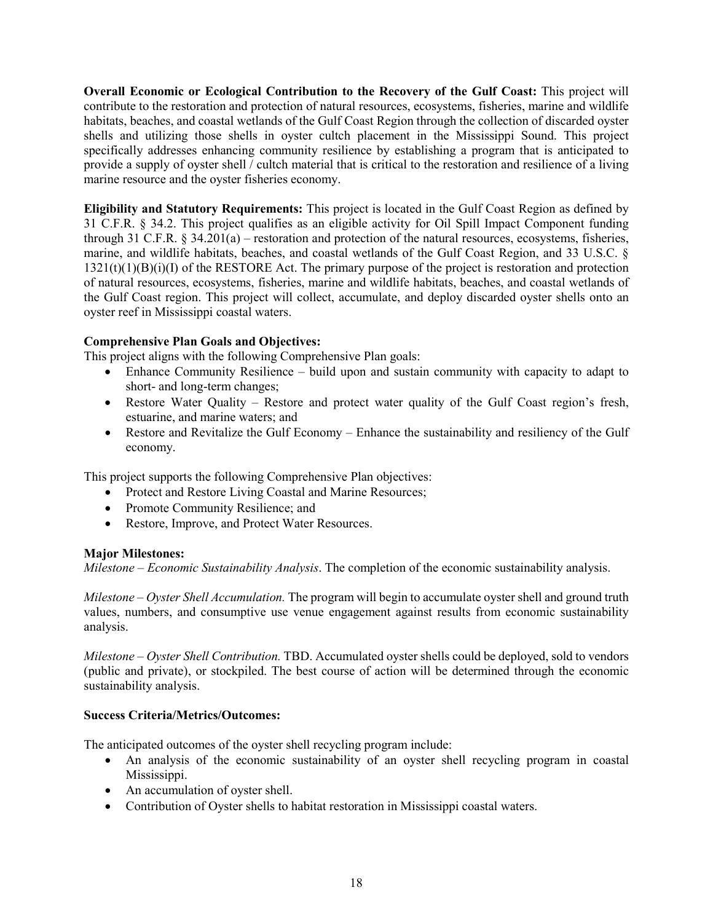**Overall Economic or Ecological Contribution to the Recovery of the Gulf Coast:** This project will contribute to the restoration and protection of natural resources, ecosystems, fisheries, marine and wildlife habitats, beaches, and coastal wetlands of the Gulf Coast Region through the collection of discarded oyster shells and utilizing those shells in oyster cultch placement in the Mississippi Sound. This project specifically addresses enhancing community resilience by establishing a program that is anticipated to provide a supply of oyster shell / cultch material that is critical to the restoration and resilience of a living marine resource and the oyster fisheries economy.

**Eligibility and Statutory Requirements:** This project is located in the Gulf Coast Region as defined by 31 C.F.R. § 34.2. This project qualifies as an eligible activity for Oil Spill Impact Component funding through 31 C.F.R.  $\S$  34.201(a) – restoration and protection of the natural resources, ecosystems, fisheries, marine, and wildlife habitats, beaches, and coastal wetlands of the Gulf Coast Region, and 33 U.S.C. §  $1321(t)(1)(B)(i)(I)$  of the RESTORE Act. The primary purpose of the project is restoration and protection of natural resources, ecosystems, fisheries, marine and wildlife habitats, beaches, and coastal wetlands of the Gulf Coast region. This project will collect, accumulate, and deploy discarded oyster shells onto an oyster reef in Mississippi coastal waters.

# **Comprehensive Plan Goals and Objectives:**

This project aligns with the following Comprehensive Plan goals:

- Enhance Community Resilience build upon and sustain community with capacity to adapt to short- and long-term changes;
- Restore Water Quality Restore and protect water quality of the Gulf Coast region's fresh, estuarine, and marine waters; and
- Restore and Revitalize the Gulf Economy Enhance the sustainability and resiliency of the Gulf economy.

This project supports the following Comprehensive Plan objectives:

- Protect and Restore Living Coastal and Marine Resources;
- Promote Community Resilience; and
- Restore, Improve, and Protect Water Resources.

# **Major Milestones:**

*Milestone – Economic Sustainability Analysis*. The completion of the economic sustainability analysis.

*Milestone – Oyster Shell Accumulation.* The program will begin to accumulate oyster shell and ground truth values, numbers, and consumptive use venue engagement against results from economic sustainability analysis.

*Milestone – Oyster Shell Contribution.* TBD. Accumulated oyster shells could be deployed, sold to vendors (public and private), or stockpiled. The best course of action will be determined through the economic sustainability analysis.

# **Success Criteria/Metrics/Outcomes:**

The anticipated outcomes of the oyster shell recycling program include:

- An analysis of the economic sustainability of an oyster shell recycling program in coastal Mississippi.
- An accumulation of oyster shell.
- Contribution of Oyster shells to habitat restoration in Mississippi coastal waters.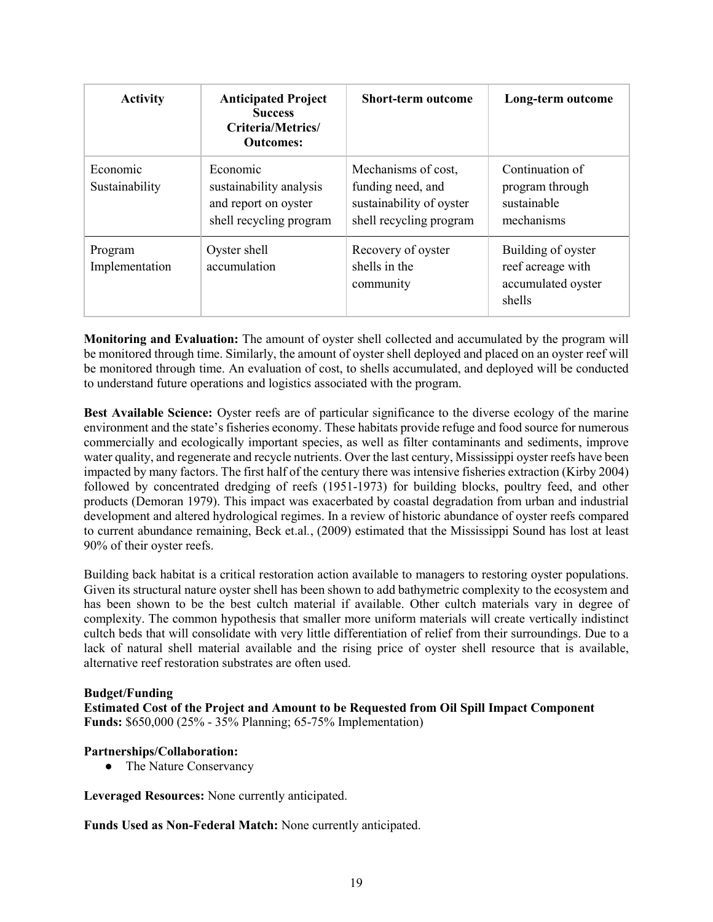| <b>Activity</b>            | <b>Anticipated Project</b><br><b>Success</b><br>Criteria/Metrics/<br><b>Outcomes:</b>  | <b>Short-term outcome</b>                                                                       | Long-term outcome                                                       |
|----------------------------|----------------------------------------------------------------------------------------|-------------------------------------------------------------------------------------------------|-------------------------------------------------------------------------|
| Economic<br>Sustainability | Economic<br>sustainability analysis<br>and report on oyster<br>shell recycling program | Mechanisms of cost,<br>funding need, and<br>sustainability of oyster<br>shell recycling program | Continuation of<br>program through<br>sustainable<br>mechanisms         |
| Program<br>Implementation  | Oyster shell<br>accumulation                                                           | Recovery of oyster<br>shells in the<br>community                                                | Building of oyster<br>reef acreage with<br>accumulated oyster<br>shells |

**Monitoring and Evaluation:** The amount of oyster shell collected and accumulated by the program will be monitored through time. Similarly, the amount of oyster shell deployed and placed on an oyster reef will be monitored through time. An evaluation of cost, to shells accumulated, and deployed will be conducted to understand future operations and logistics associated with the program.

**Best Available Science:** Oyster reefs are of particular significance to the diverse ecology of the marine environment and the state's fisheries economy. These habitats provide refuge and food source for numerous commercially and ecologically important species, as well as filter contaminants and sediments, improve water quality, and regenerate and recycle nutrients. Over the last century, Mississippi oyster reefs have been impacted by many factors. The first half of the century there was intensive fisheries extraction (Kirby 2004) followed by concentrated dredging of reefs (1951-1973) for building blocks, poultry feed, and other products (Demoran 1979). This impact was exacerbated by coastal degradation from urban and industrial development and altered hydrological regimes. In a review of historic abundance of oyster reefs compared to current abundance remaining, Beck et.al*.*, (2009) estimated that the Mississippi Sound has lost at least 90% of their oyster reefs.

Building back habitat is a critical restoration action available to managers to restoring oyster populations. Given its structural nature oyster shell has been shown to add bathymetric complexity to the ecosystem and has been shown to be the best cultch material if available. Other cultch materials vary in degree of complexity. The common hypothesis that smaller more uniform materials will create vertically indistinct cultch beds that will consolidate with very little differentiation of relief from their surroundings. Due to a lack of natural shell material available and the rising price of oyster shell resource that is available, alternative reef restoration substrates are often used.

#### **Budget/Funding**

**Estimated Cost of the Project and Amount to be Requested from Oil Spill Impact Component Funds:** \$650,000 (25% - 35% Planning; 65-75% Implementation)

#### **Partnerships/Collaboration:**

• The Nature Conservancy

**Leveraged Resources:** None currently anticipated.

**Funds Used as Non-Federal Match:** None currently anticipated.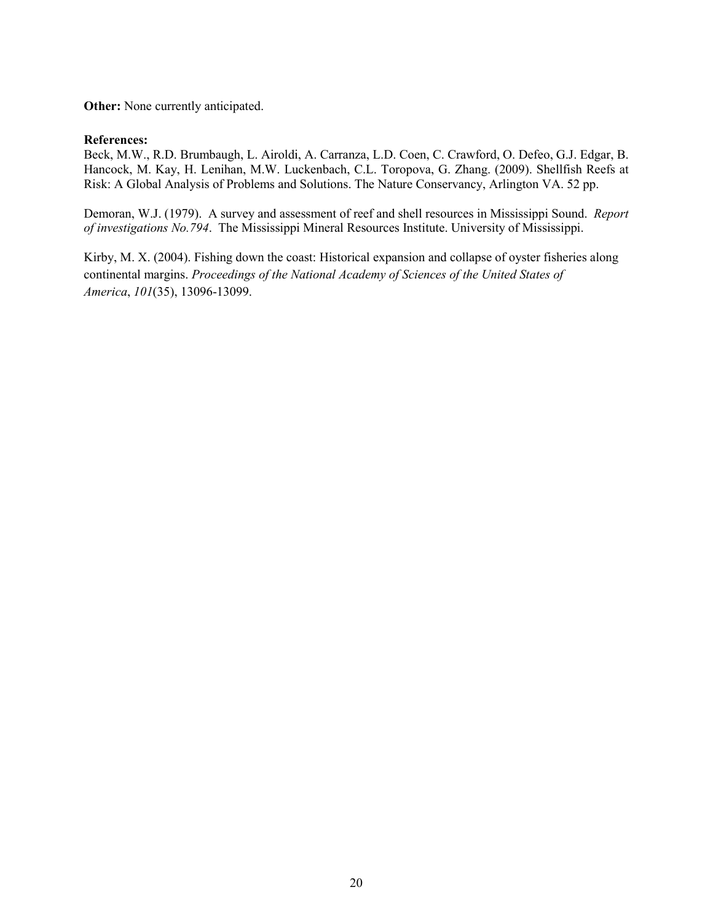**Other:** None currently anticipated.

#### **References:**

Beck, M.W., R.D. Brumbaugh, L. Airoldi, A. Carranza, L.D. Coen, C. Crawford, O. Defeo, G.J. Edgar, B. Hancock, M. Kay, H. Lenihan, M.W. Luckenbach, C.L. Toropova, G. Zhang. (2009). Shellfish Reefs at Risk: A Global Analysis of Problems and Solutions. The Nature Conservancy, Arlington VA. 52 pp.

Demoran, W.J. (1979). A survey and assessment of reef and shell resources in Mississippi Sound. *Report of investigations No.794*. The Mississippi Mineral Resources Institute. University of Mississippi.

Kirby, M. X. (2004). Fishing down the coast: Historical expansion and collapse of oyster fisheries along continental margins. *Proceedings of the National Academy of Sciences of the United States of America*, *101*(35), 13096-13099.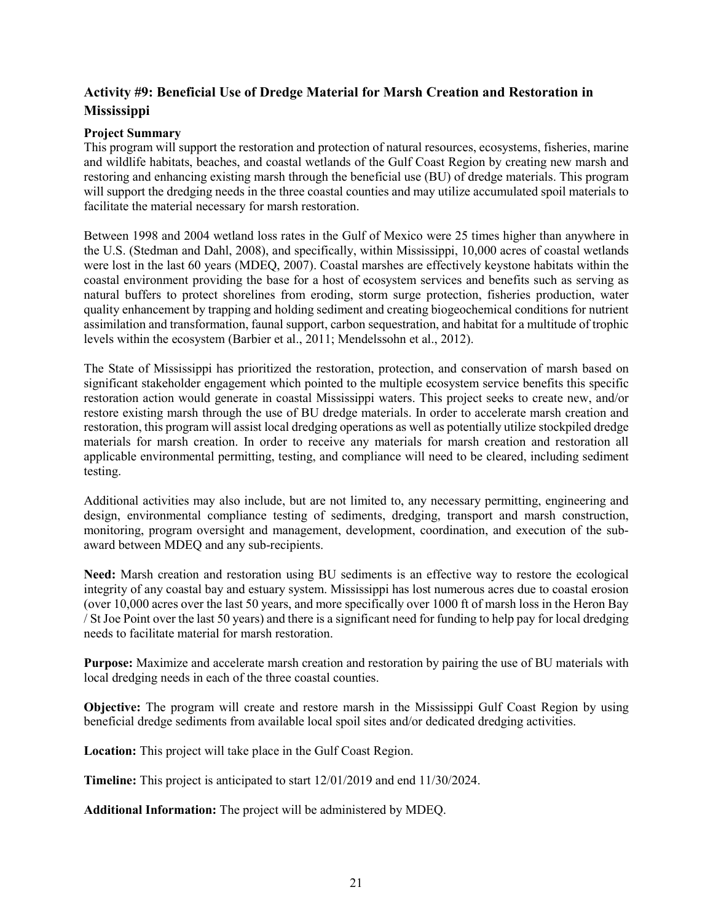# <span id="page-22-0"></span>**Activity #9: Beneficial Use of Dredge Material for Marsh Creation and Restoration in Mississippi**

### **Project Summary**

This program will support the restoration and protection of natural resources, ecosystems, fisheries, marine and wildlife habitats, beaches, and coastal wetlands of the Gulf Coast Region by creating new marsh and restoring and enhancing existing marsh through the beneficial use (BU) of dredge materials. This program will support the dredging needs in the three coastal counties and may utilize accumulated spoil materials to facilitate the material necessary for marsh restoration.

Between 1998 and 2004 wetland loss rates in the Gulf of Mexico were 25 times higher than anywhere in the U.S. (Stedman and Dahl, 2008), and specifically, within Mississippi, 10,000 acres of coastal wetlands were lost in the last 60 years (MDEQ, 2007). Coastal marshes are effectively keystone habitats within the coastal environment providing the base for a host of ecosystem services and benefits such as serving as natural buffers to protect shorelines from eroding, storm surge protection, fisheries production, water quality enhancement by trapping and holding sediment and creating biogeochemical conditions for nutrient assimilation and transformation, faunal support, carbon sequestration, and habitat for a multitude of trophic levels within the ecosystem (Barbier et al., 2011; Mendelssohn et al., 2012).

The State of Mississippi has prioritized the restoration, protection, and conservation of marsh based on significant stakeholder engagement which pointed to the multiple ecosystem service benefits this specific restoration action would generate in coastal Mississippi waters. This project seeks to create new, and/or restore existing marsh through the use of BU dredge materials. In order to accelerate marsh creation and restoration, this program will assist local dredging operations as well as potentially utilize stockpiled dredge materials for marsh creation. In order to receive any materials for marsh creation and restoration all applicable environmental permitting, testing, and compliance will need to be cleared, including sediment testing.

Additional activities may also include, but are not limited to, any necessary permitting, engineering and design, environmental compliance testing of sediments, dredging, transport and marsh construction, monitoring, program oversight and management, development, coordination, and execution of the subaward between MDEQ and any sub-recipients.

**Need:** Marsh creation and restoration using BU sediments is an effective way to restore the ecological integrity of any coastal bay and estuary system. Mississippi has lost numerous acres due to coastal erosion (over 10,000 acres over the last 50 years, and more specifically over 1000 ft of marsh loss in the Heron Bay / St Joe Point over the last 50 years) and there is a significant need for funding to help pay for local dredging needs to facilitate material for marsh restoration.

**Purpose:** Maximize and accelerate marsh creation and restoration by pairing the use of BU materials with local dredging needs in each of the three coastal counties.

**Objective:** The program will create and restore marsh in the Mississippi Gulf Coast Region by using beneficial dredge sediments from available local spoil sites and/or dedicated dredging activities.

**Location:** This project will take place in the Gulf Coast Region.

**Timeline:** This project is anticipated to start 12/01/2019 and end 11/30/2024.

**Additional Information:** The project will be administered by MDEQ.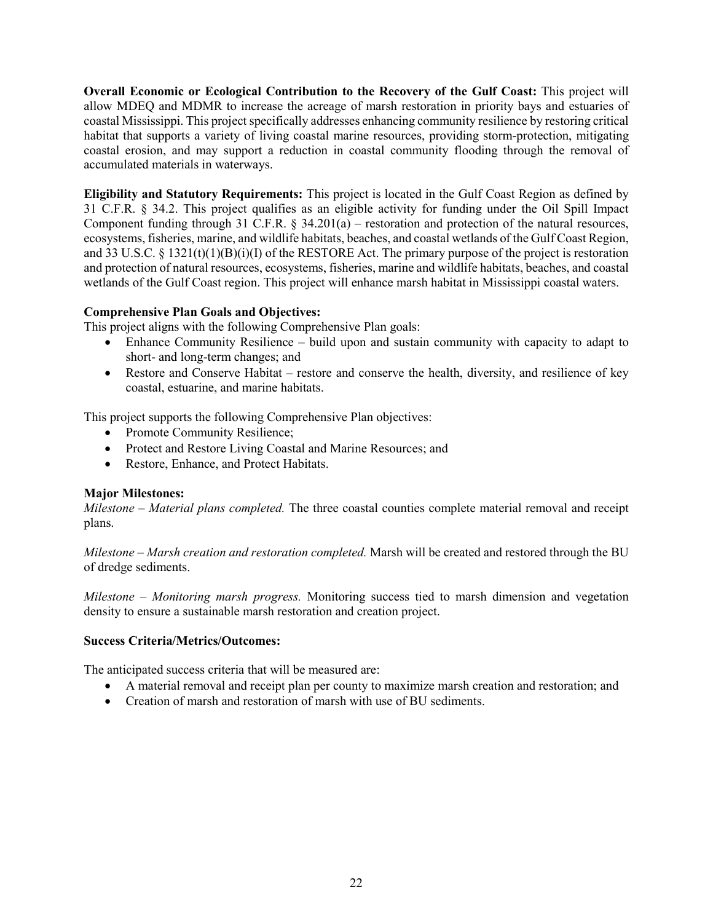**Overall Economic or Ecological Contribution to the Recovery of the Gulf Coast:** This project will allow MDEQ and MDMR to increase the acreage of marsh restoration in priority bays and estuaries of coastal Mississippi. This project specifically addresses enhancing community resilience by restoring critical habitat that supports a variety of living coastal marine resources, providing storm-protection, mitigating coastal erosion, and may support a reduction in coastal community flooding through the removal of accumulated materials in waterways.

**Eligibility and Statutory Requirements:** This project is located in the Gulf Coast Region as defined by 31 C.F.R. § 34.2. This project qualifies as an eligible activity for funding under the Oil Spill Impact Component funding through 31 C.F.R. § 34.201(a) – restoration and protection of the natural resources, ecosystems, fisheries, marine, and wildlife habitats, beaches, and coastal wetlands of the Gulf Coast Region, and 33 U.S.C. § 1321(t)(1)(B)(i)(I) of the RESTORE Act. The primary purpose of the project is restoration and protection of natural resources, ecosystems, fisheries, marine and wildlife habitats, beaches, and coastal wetlands of the Gulf Coast region. This project will enhance marsh habitat in Mississippi coastal waters.

# **Comprehensive Plan Goals and Objectives:**

This project aligns with the following Comprehensive Plan goals:

- Enhance Community Resilience build upon and sustain community with capacity to adapt to short- and long-term changes; and
- Restore and Conserve Habitat restore and conserve the health, diversity, and resilience of key coastal, estuarine, and marine habitats.

This project supports the following Comprehensive Plan objectives:

- Promote Community Resilience;
- Protect and Restore Living Coastal and Marine Resources; and
- Restore, Enhance, and Protect Habitats.

#### **Major Milestones:**

*Milestone – Material plans completed.* The three coastal counties complete material removal and receipt plans.

*Milestone – Marsh creation and restoration completed.* Marsh will be created and restored through the BU of dredge sediments.

*Milestone – Monitoring marsh progress.* Monitoring success tied to marsh dimension and vegetation density to ensure a sustainable marsh restoration and creation project.

#### **Success Criteria/Metrics/Outcomes:**

The anticipated success criteria that will be measured are:

- A material removal and receipt plan per county to maximize marsh creation and restoration; and
- Creation of marsh and restoration of marsh with use of BU sediments.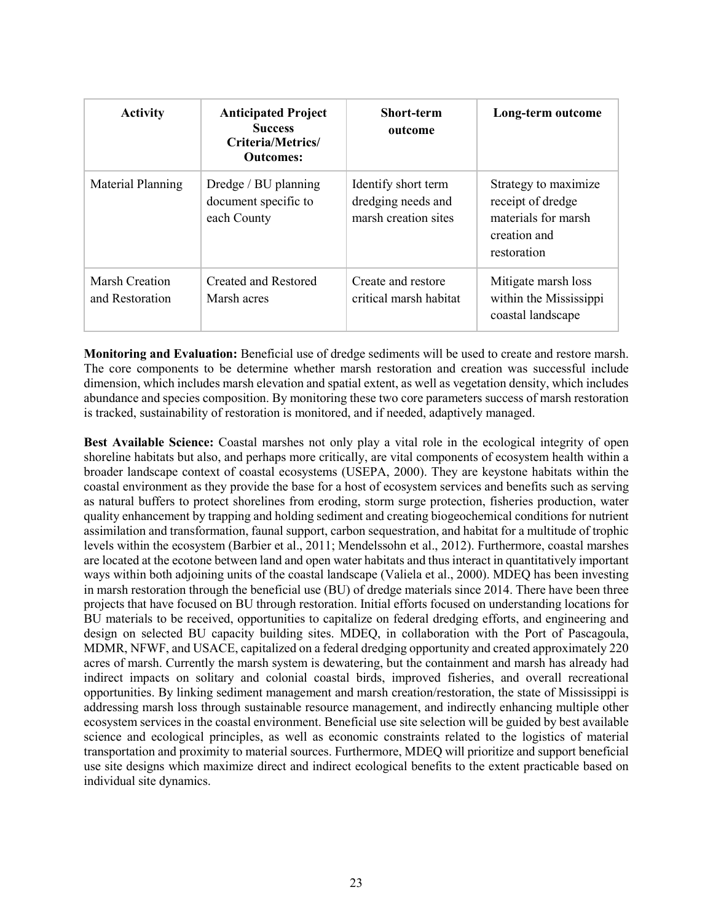| <b>Activity</b>                          | <b>Anticipated Project</b><br><b>Success</b><br>Criteria/Metrics/<br><b>Outcomes:</b> | <b>Short-term</b><br>outcome                                      | Long-term outcome                                                                               |
|------------------------------------------|---------------------------------------------------------------------------------------|-------------------------------------------------------------------|-------------------------------------------------------------------------------------------------|
| Material Planning                        | Dredge / BU planning<br>document specific to<br>each County                           | Identify short term<br>dredging needs and<br>marsh creation sites | Strategy to maximize<br>receipt of dredge<br>materials for marsh<br>creation and<br>restoration |
| <b>Marsh Creation</b><br>and Restoration | Created and Restored<br>Marsh acres                                                   | Create and restore<br>critical marsh habitat                      | Mitigate marsh loss<br>within the Mississippi<br>coastal landscape                              |

**Monitoring and Evaluation:** Beneficial use of dredge sediments will be used to create and restore marsh. The core components to be determine whether marsh restoration and creation was successful include dimension, which includes marsh elevation and spatial extent, as well as vegetation density, which includes abundance and species composition. By monitoring these two core parameters success of marsh restoration is tracked, sustainability of restoration is monitored, and if needed, adaptively managed.

**Best Available Science:** Coastal marshes not only play a vital role in the ecological integrity of open shoreline habitats but also, and perhaps more critically, are vital components of ecosystem health within a broader landscape context of coastal ecosystems (USEPA, 2000). They are keystone habitats within the coastal environment as they provide the base for a host of ecosystem services and benefits such as serving as natural buffers to protect shorelines from eroding, storm surge protection, fisheries production, water quality enhancement by trapping and holding sediment and creating biogeochemical conditions for nutrient assimilation and transformation, faunal support, carbon sequestration, and habitat for a multitude of trophic levels within the ecosystem (Barbier et al., 2011; Mendelssohn et al., 2012). Furthermore, coastal marshes are located at the ecotone between land and open water habitats and thus interact in quantitatively important ways within both adjoining units of the coastal landscape (Valiela et al., 2000). MDEQ has been investing in marsh restoration through the beneficial use (BU) of dredge materials since 2014. There have been three projects that have focused on BU through restoration. Initial efforts focused on understanding locations for BU materials to be received, opportunities to capitalize on federal dredging efforts, and engineering and design on selected BU capacity building sites. MDEQ, in collaboration with the Port of Pascagoula, MDMR, NFWF, and USACE, capitalized on a federal dredging opportunity and created approximately 220 acres of marsh. Currently the marsh system is dewatering, but the containment and marsh has already had indirect impacts on solitary and colonial coastal birds, improved fisheries, and overall recreational opportunities. By linking sediment management and marsh creation/restoration, the state of Mississippi is addressing marsh loss through sustainable resource management, and indirectly enhancing multiple other ecosystem services in the coastal environment. Beneficial use site selection will be guided by best available science and ecological principles, as well as economic constraints related to the logistics of material transportation and proximity to material sources. Furthermore, MDEQ will prioritize and support beneficial use site designs which maximize direct and indirect ecological benefits to the extent practicable based on individual site dynamics.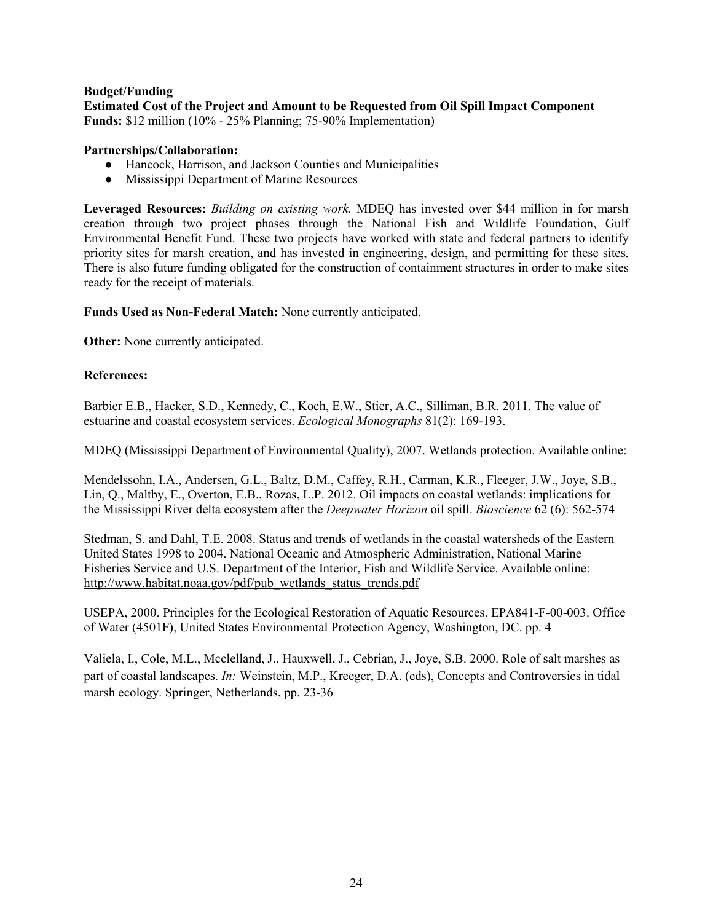#### **Budget/Funding**

**Estimated Cost of the Project and Amount to be Requested from Oil Spill Impact Component Funds:** \$12 million (10% - 25% Planning; 75-90% Implementation)

#### **Partnerships/Collaboration:**

- Hancock, Harrison, and Jackson Counties and Municipalities
- Mississippi Department of Marine Resources

**Leveraged Resources:** *Building on existing work.* MDEQ has invested over \$44 million in for marsh creation through two project phases through the National Fish and Wildlife Foundation, Gulf Environmental Benefit Fund. These two projects have worked with state and federal partners to identify priority sites for marsh creation, and has invested in engineering, design, and permitting for these sites. There is also future funding obligated for the construction of containment structures in order to make sites ready for the receipt of materials.

**Funds Used as Non-Federal Match:** None currently anticipated.

**Other:** None currently anticipated.

### **References:**

Barbier E.B., Hacker, S.D., Kennedy, C., Koch, E.W., Stier, A.C., Silliman, B.R. 2011. The value of estuarine and coastal ecosystem services. *Ecological Monographs* 81(2): 169-193.

MDEQ (Mississippi Department of Environmental Quality), 2007. Wetlands protection. Available online:

Mendelssohn, I.A., Andersen, G.L., Baltz, D.M., Caffey, R.H., Carman, K.R., Fleeger, J.W., Joye, S.B., Lin, Q., Maltby, E., Overton, E.B., Rozas, L.P. 2012. Oil impacts on coastal wetlands: implications for the Mississippi River delta ecosystem after the *Deepwater Horizon* oil spill. *Bioscience* 62 (6): 562-574

Stedman, S. and Dahl, T.E. 2008. Status and trends of wetlands in the coastal watersheds of the Eastern United States 1998 to 2004. National Oceanic and Atmospheric Administration, National Marine Fisheries Service and U.S. Department of the Interior, Fish and Wildlife Service. Available online: [http://www.habitat.noaa.gov/pdf/pub\\_wetlands\\_status\\_trends.pdf](http://www.habitat.noaa.gov/pdf/pub_wetlands_status_trends.pdf)

USEPA, 2000. Principles for the Ecological Restoration of Aquatic Resources. EPA841-F-00-003. Office of Water (4501F), United States Environmental Protection Agency, Washington, DC. pp. 4

Valiela, I., Cole, M.L., Mcclelland, J., Hauxwell, J., Cebrian, J., Joye, S.B. 2000. Role of salt marshes as part of coastal landscapes. *In:* Weinstein, M.P., Kreeger, D.A. (eds), Concepts and Controversies in tidal marsh ecology. Springer, Netherlands, pp. 23-36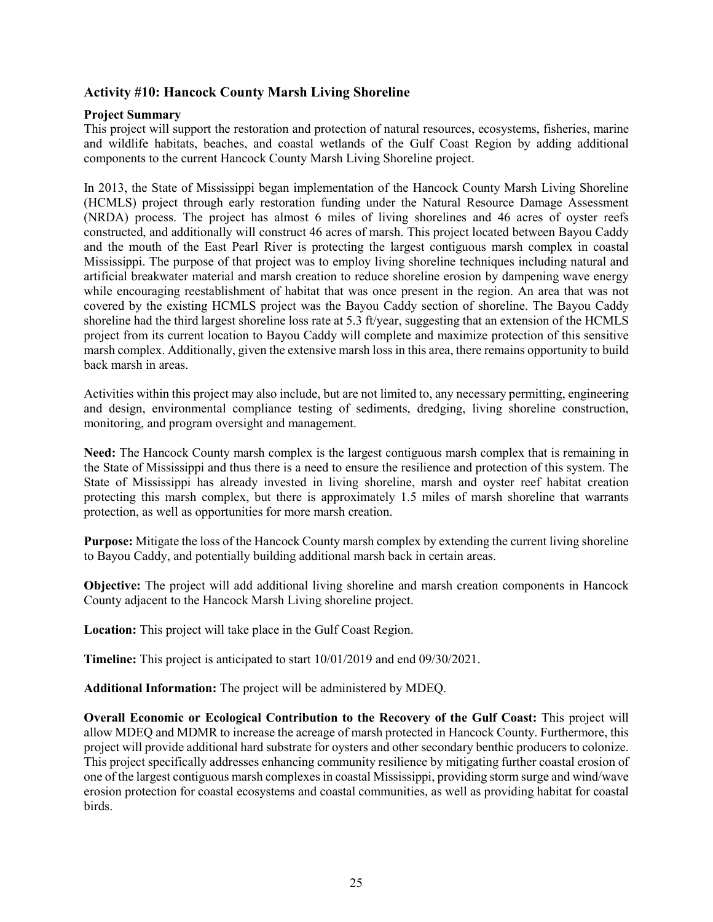# <span id="page-26-0"></span>**Activity #10: Hancock County Marsh Living Shoreline**

#### **Project Summary**

This project will support the restoration and protection of natural resources, ecosystems, fisheries, marine and wildlife habitats, beaches, and coastal wetlands of the Gulf Coast Region by adding additional components to the current Hancock County Marsh Living Shoreline project.

In 2013, the State of Mississippi began implementation of the Hancock County Marsh Living Shoreline (HCMLS) project through early restoration funding under the Natural Resource Damage Assessment (NRDA) process. The project has almost 6 miles of living shorelines and 46 acres of oyster reefs constructed, and additionally will construct 46 acres of marsh. This project located between Bayou Caddy and the mouth of the East Pearl River is protecting the largest contiguous marsh complex in coastal Mississippi. The purpose of that project was to employ living shoreline techniques including natural and artificial breakwater material and marsh creation to reduce shoreline erosion by dampening wave energy while encouraging reestablishment of habitat that was once present in the region. An area that was not covered by the existing HCMLS project was the Bayou Caddy section of shoreline. The Bayou Caddy shoreline had the third largest shoreline loss rate at 5.3 ft/year, suggesting that an extension of the HCMLS project from its current location to Bayou Caddy will complete and maximize protection of this sensitive marsh complex. Additionally, given the extensive marsh loss in this area, there remains opportunity to build back marsh in areas.

Activities within this project may also include, but are not limited to, any necessary permitting, engineering and design, environmental compliance testing of sediments, dredging, living shoreline construction, monitoring, and program oversight and management.

**Need:** The Hancock County marsh complex is the largest contiguous marsh complex that is remaining in the State of Mississippi and thus there is a need to ensure the resilience and protection of this system. The State of Mississippi has already invested in living shoreline, marsh and oyster reef habitat creation protecting this marsh complex, but there is approximately 1.5 miles of marsh shoreline that warrants protection, as well as opportunities for more marsh creation.

**Purpose:** Mitigate the loss of the Hancock County marsh complex by extending the current living shoreline to Bayou Caddy, and potentially building additional marsh back in certain areas.

**Objective:** The project will add additional living shoreline and marsh creation components in Hancock County adjacent to the Hancock Marsh Living shoreline project.

**Location:** This project will take place in the Gulf Coast Region.

**Timeline:** This project is anticipated to start 10/01/2019 and end 09/30/2021.

**Additional Information:** The project will be administered by MDEQ.

**Overall Economic or Ecological Contribution to the Recovery of the Gulf Coast:** This project will allow MDEQ and MDMR to increase the acreage of marsh protected in Hancock County. Furthermore, this project will provide additional hard substrate for oysters and other secondary benthic producers to colonize. This project specifically addresses enhancing community resilience by mitigating further coastal erosion of one of the largest contiguous marsh complexes in coastal Mississippi, providing storm surge and wind/wave erosion protection for coastal ecosystems and coastal communities, as well as providing habitat for coastal birds.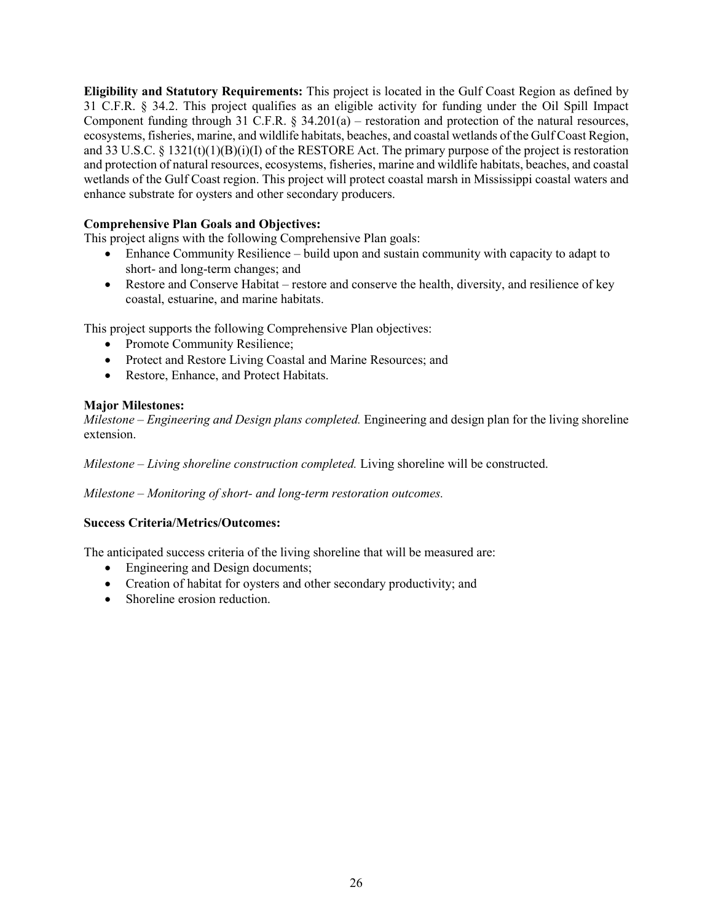**Eligibility and Statutory Requirements:** This project is located in the Gulf Coast Region as defined by 31 C.F.R. § 34.2. This project qualifies as an eligible activity for funding under the Oil Spill Impact Component funding through 31 C.F.R. § 34.201(a) – restoration and protection of the natural resources, ecosystems, fisheries, marine, and wildlife habitats, beaches, and coastal wetlands of the Gulf Coast Region, and 33 U.S.C. § 1321(t)(1)(B)(i)(I) of the RESTORE Act. The primary purpose of the project is restoration and protection of natural resources, ecosystems, fisheries, marine and wildlife habitats, beaches, and coastal wetlands of the Gulf Coast region. This project will protect coastal marsh in Mississippi coastal waters and enhance substrate for oysters and other secondary producers.

# **Comprehensive Plan Goals and Objectives:**

This project aligns with the following Comprehensive Plan goals:

- Enhance Community Resilience build upon and sustain community with capacity to adapt to short- and long-term changes; and
- Restore and Conserve Habitat restore and conserve the health, diversity, and resilience of key coastal, estuarine, and marine habitats.

This project supports the following Comprehensive Plan objectives:

- Promote Community Resilience;
- Protect and Restore Living Coastal and Marine Resources; and
- Restore, Enhance, and Protect Habitats.

# **Major Milestones:**

*Milestone – Engineering and Design plans completed.* Engineering and design plan for the living shoreline extension.

*Milestone – Living shoreline construction completed.* Living shoreline will be constructed.

*Milestone – Monitoring of short- and long-term restoration outcomes.*

# **Success Criteria/Metrics/Outcomes:**

The anticipated success criteria of the living shoreline that will be measured are:

- Engineering and Design documents;
- Creation of habitat for oysters and other secondary productivity; and
- Shoreline erosion reduction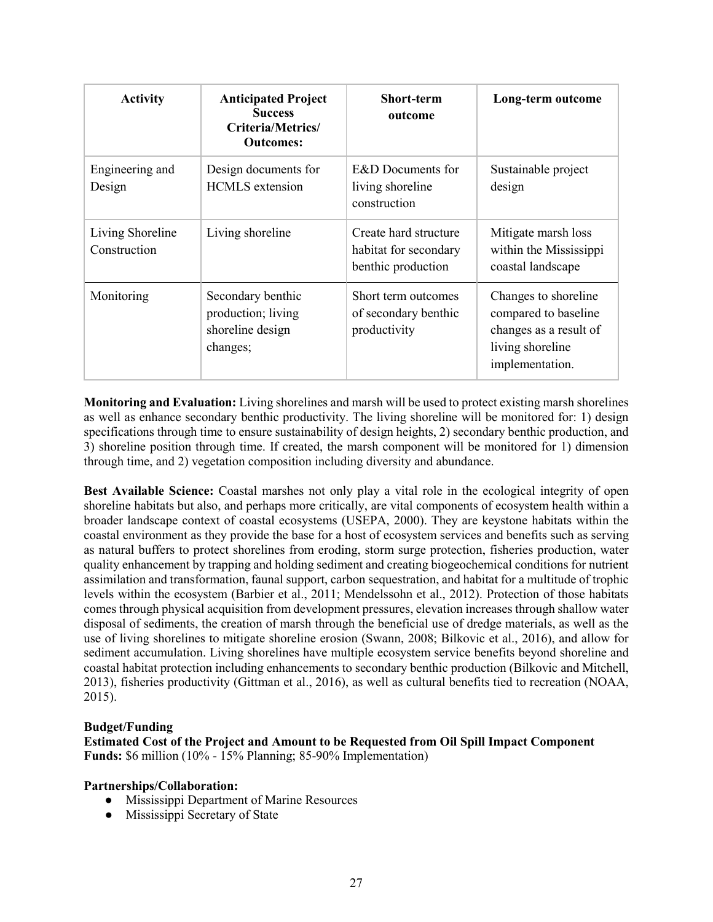| <b>Activity</b>                  | <b>Anticipated Project</b><br><b>Success</b><br>Criteria/Metrics/<br><b>Outcomes:</b> | <b>Short-term</b><br>outcome                                         | Long-term outcome                                                                                             |
|----------------------------------|---------------------------------------------------------------------------------------|----------------------------------------------------------------------|---------------------------------------------------------------------------------------------------------------|
| Engineering and<br>Design        | Design documents for<br><b>HCMLS</b> extension                                        | E&D Documents for<br>living shoreline<br>construction                | Sustainable project<br>design                                                                                 |
| Living Shoreline<br>Construction | Living shoreline                                                                      | Create hard structure<br>habitat for secondary<br>benthic production | Mitigate marsh loss<br>within the Mississippi<br>coastal landscape                                            |
| Monitoring                       | Secondary benthic<br>production; living<br>shoreline design<br>changes;               | Short term outcomes<br>of secondary benthic<br>productivity          | Changes to shoreline<br>compared to baseline<br>changes as a result of<br>living shoreline<br>implementation. |

**Monitoring and Evaluation:** Living shorelines and marsh will be used to protect existing marsh shorelines as well as enhance secondary benthic productivity. The living shoreline will be monitored for: 1) design specifications through time to ensure sustainability of design heights, 2) secondary benthic production, and 3) shoreline position through time. If created, the marsh component will be monitored for 1) dimension through time, and 2) vegetation composition including diversity and abundance.

**Best Available Science:** Coastal marshes not only play a vital role in the ecological integrity of open shoreline habitats but also, and perhaps more critically, are vital components of ecosystem health within a broader landscape context of coastal ecosystems (USEPA, 2000). They are keystone habitats within the coastal environment as they provide the base for a host of ecosystem services and benefits such as serving as natural buffers to protect shorelines from eroding, storm surge protection, fisheries production, water quality enhancement by trapping and holding sediment and creating biogeochemical conditions for nutrient assimilation and transformation, faunal support, carbon sequestration, and habitat for a multitude of trophic levels within the ecosystem (Barbier et al., 2011; Mendelssohn et al., 2012). Protection of those habitats comes through physical acquisition from development pressures, elevation increases through shallow water disposal of sediments, the creation of marsh through the beneficial use of dredge materials, as well as the use of living shorelines to mitigate shoreline erosion (Swann, 2008; Bilkovic et al., 2016), and allow for sediment accumulation. Living shorelines have multiple ecosystem service benefits beyond shoreline and coastal habitat protection including enhancements to secondary benthic production (Bilkovic and Mitchell, 2013), fisheries productivity (Gittman et al., 2016), as well as cultural benefits tied to recreation (NOAA, 2015).

#### **Budget/Funding**

**Estimated Cost of the Project and Amount to be Requested from Oil Spill Impact Component Funds:** \$6 million (10% - 15% Planning; 85-90% Implementation)

#### **Partnerships/Collaboration:**

- Mississippi Department of Marine Resources
- Mississippi Secretary of State